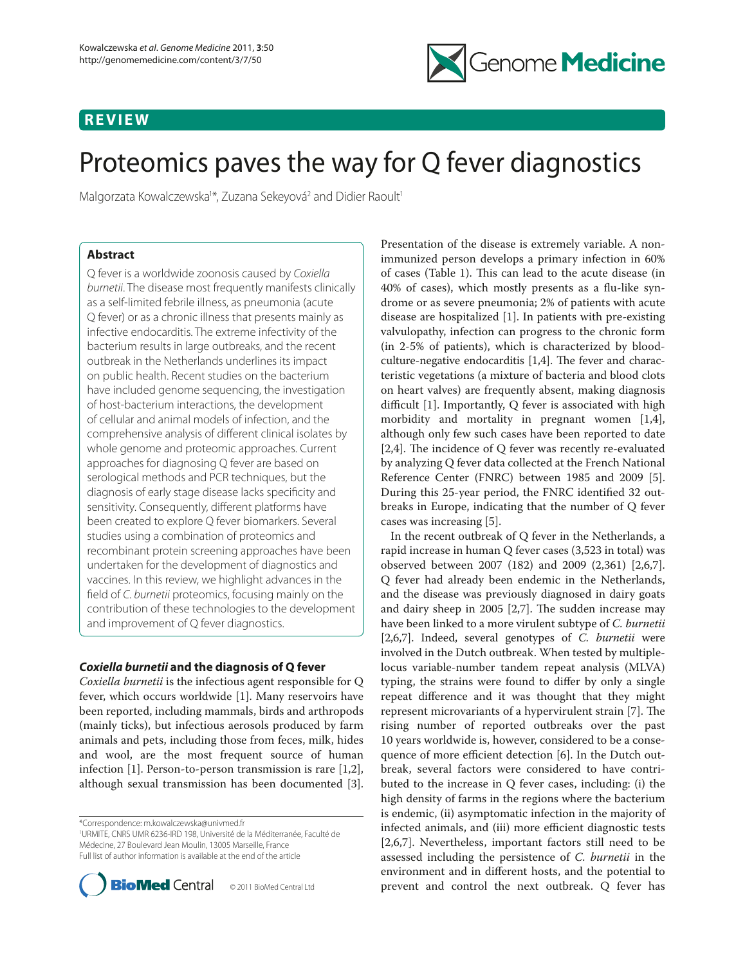# **REVIEW**



# Proteomics paves the way for Q fever diagnostics

Malgorzata Kowalczewska<sup>1\*</sup>, Zuzana Sekeyová<sup>2</sup> and Didier Raoult<sup>1</sup>

# **Abstract**

Q fever is a worldwide zoonosis caused by *Coxiella burnetii*. The disease most frequently manifests clinically as a self-limited febrile illness, as pneumonia (acute Q fever) or as a chronic illness that presents mainly as infective endocarditis. The extreme infectivity of the bacterium results in large outbreaks, and the recent outbreak in the Netherlands underlines its impact on public health. Recent studies on the bacterium have included genome sequencing, the investigation of host-bacterium interactions, the development of cellular and animal models of infection, and the comprehensive analysis of different clinical isolates by whole genome and proteomic approaches. Current approaches for diagnosing Q fever are based on serological methods and PCR techniques, but the diagnosis of early stage disease lacks specificity and sensitivity. Consequently, different platforms have been created to explore Q fever biomarkers. Several studies using a combination of proteomics and recombinant protein screening approaches have been undertaken for the development of diagnostics and vaccines. In this review, we highlight advances in the field of *C. burnetii* proteomics, focusing mainly on the contribution of these technologies to the development and improvement of Q fever diagnostics.

# *Coxiella burnetii* **and the diagnosis of Q fever**

*Coxiella burnetii* is the infectious agent responsible for Q fever, which occurs worldwide [1]. Many reservoirs have been reported, including mammals, birds and arthropods (mainly ticks), but infectious aerosols produced by farm animals and pets, including those from feces, milk, hides and wool, are the most frequent source of human infection [1]. Person-to-person transmission is rare [1,2], although sexual transmission has been documented [3].

\*Correspondence: m.kowalczewska@univmed.fr

1 URMITE, CNRS UMR 6236-IRD 198, Université de la Méditerranée, Faculté de Médecine, 27 Boulevard Jean Moulin, 13005 Marseille, France Full list of author information is available at the end of the article



Presentation of the disease is extremely variable. A nonimmunized person develops a primary infection in 60% of cases (Table 1). This can lead to the acute disease (in 40% of cases), which mostly presents as a flu-like syndrome or as severe pneumonia; 2% of patients with acute disease are hospitalized [1]. In patients with pre-existing valvulopathy, infection can progress to the chronic form (in 2-5% of patients), which is characterized by bloodculture-negative endocarditis  $[1,4]$ . The fever and characteristic vegetations (a mixture of bacteria and blood clots on heart valves) are frequently absent, making diagnosis difficult [1]. Importantly, Q fever is associated with high morbidity and mortality in pregnant women [1,4], although only few such cases have been reported to date [2,4]. The incidence of Q fever was recently re-evaluated by analyzing Q fever data collected at the French National Reference Center (FNRC) between 1985 and 2009 [5]. During this 25-year period, the FNRC identified 32 outbreaks in Europe, indicating that the number of Q fever cases was increasing [5].

In the recent outbreak of Q fever in the Netherlands, a rapid increase in human Q fever cases (3,523 in total) was observed between 2007 (182) and 2009 (2,361) [2,6,7]. Q fever had already been endemic in the Netherlands, and the disease was previously diagnosed in dairy goats and dairy sheep in  $2005$  [2,7]. The sudden increase may have been linked to a more virulent subtype of *C. burnetii* [2,6,7]. Indeed, several genotypes of *C. burnetii* were involved in the Dutch outbreak. When tested by multiplelocus variable-number tandem repeat analysis (MLVA) typing, the strains were found to differ by only a single repeat difference and it was thought that they might represent microvariants of a hypervirulent strain [7]. The rising number of reported outbreaks over the past 10 years worldwide is, however, considered to be a consequence of more efficient detection [6]. In the Dutch outbreak, several factors were considered to have contributed to the increase in Q fever cases, including: (i) the high density of farms in the regions where the bacterium is endemic, (ii) asymptomatic infection in the majority of infected animals, and (iii) more efficient diagnostic tests [2,6,7]. Nevertheless, important factors still need to be assessed including the persistence of *C. burnetii* in the environment and in different hosts, and the potential to prevent and control the next outbreak. Q fever has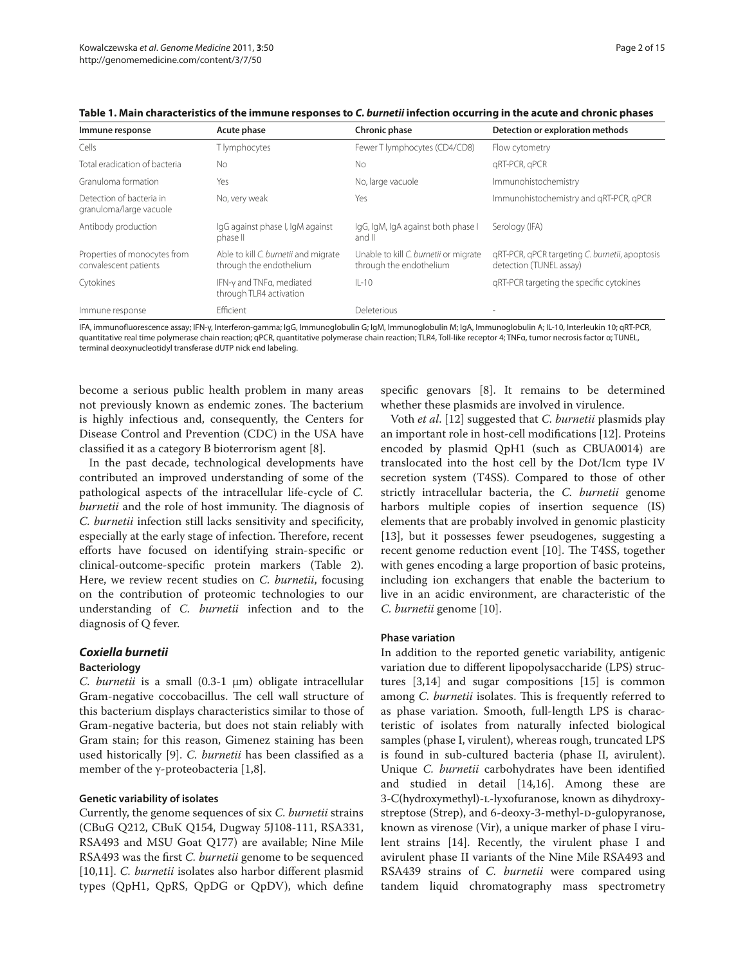| Immune response                                       | Acute phase                                                     | Chronic phase                                                    | Detection or exploration methods                                          |
|-------------------------------------------------------|-----------------------------------------------------------------|------------------------------------------------------------------|---------------------------------------------------------------------------|
| Cells                                                 | T lymphocytes                                                   | Fewer T lymphocytes (CD4/CD8)                                    | Flow cytometry                                                            |
| Total eradication of bacteria                         | No                                                              | No                                                               | gRT-PCR, gPCR                                                             |
| Granuloma formation                                   | Yes                                                             | No, large vacuole                                                | Immunohistochemistry                                                      |
| Detection of bacteria in<br>granuloma/large vacuole   | No, very weak                                                   | Yes                                                              | Immunohistochemistry and gRT-PCR, gPCR                                    |
| Antibody production                                   | IgG against phase I, IgM against<br>phase II                    | IgG, IgM, IgA against both phase I<br>and II                     | Serology (IFA)                                                            |
| Properties of monocytes from<br>convalescent patients | Able to kill C. burnetii and migrate<br>through the endothelium | Unable to kill C. burnetii or migrate<br>through the endothelium | gRT-PCR, gPCR targeting C. burnetii, apoptosis<br>detection (TUNEL assay) |
| Cytokines                                             | IFN-y and TNFa, mediated<br>through TLR4 activation             | $IL-10$                                                          | gRT-PCR targeting the specific cytokines                                  |
| Immune response                                       | <b>Efficient</b>                                                | Deleterious                                                      |                                                                           |

IFA, immunofluorescence assay; IFN-γ, Interferon-gamma; IgG, Immunoglobulin G; IgM, Immunoglobulin M; IgA, Immunoglobulin A; IL-10, Interleukin 10; qRT-PCR, quantitative real time polymerase chain reaction; qPCR, quantitative polymerase chain reaction; TLR4, Toll-like receptor 4; TNFα, tumor necrosis factor α; TUNEL, terminal deoxynucleotidyl transferase dUTP nick end labeling.

become a serious public health problem in many areas not previously known as endemic zones. The bacterium is highly infectious and, consequently, the Centers for Disease Control and Prevention (CDC) in the USA have classified it as a category B bioterrorism agent [8].

In the past decade, technological developments have contributed an improved understanding of some of the pathological aspects of the intracellular life-cycle of *C. burnetii* and the role of host immunity. The diagnosis of *C. burnetii* infection still lacks sensitivity and specificity, especially at the early stage of infection. Therefore, recent efforts have focused on identifying strain-specific or clinical-outcome-specific protein markers (Table 2). Here, we review recent studies on *C. burnetii*, focusing on the contribution of proteomic technologies to our understanding of *C. burnetii* infection and to the diagnosis of Q fever.

# *Coxiella burnetii*

#### **Bacteriology**

*C. burnetii* is a small (0.3-1 µm) obligate intracellular Gram-negative coccobacillus. The cell wall structure of this bacterium displays characteristics similar to those of Gram-negative bacteria, but does not stain reliably with Gram stain; for this reason, Gimenez staining has been used historically [9]. *C. burnetii* has been classified as a member of the  $\gamma$ -proteobacteria [1,8].

#### **Genetic variability of isolates**

Currently, the genome sequences of six *C. burnetii* strains (CBuG Q212, CBuK Q154, Dugway 5J108-111, RSA331, RSA493 and MSU Goat Q177) are available; Nine Mile RSA493 was the first *C. burnetii* genome to be sequenced [10,11]. *C. burnetii* isolates also harbor different plasmid types (QpH1, QpRS, QpDG or QpDV), which define

specific genovars [8]. It remains to be determined whether these plasmids are involved in virulence.

Voth *et al*. [12] suggested that *C. burnetii* plasmids play an important role in host-cell modifications [12]. Proteins encoded by plasmid QpH1 (such as CBUA0014) are translocated into the host cell by the Dot/Icm type IV secretion system (T4SS). Compared to those of other strictly intracellular bacteria, the *C. burnetii* genome harbors multiple copies of insertion sequence (IS) elements that are probably involved in genomic plasticity [13], but it possesses fewer pseudogenes, suggesting a recent genome reduction event [10]. The T4SS, together with genes encoding a large proportion of basic proteins, including ion exchangers that enable the bacterium to live in an acidic environment, are characteristic of the *C. burnetii* genome [10].

#### **Phase variation**

In addition to the reported genetic variability, antigenic variation due to different lipopolysaccharide (LPS) structures [3,14] and sugar compositions [15] is common among *C. burnetii* isolates. This is frequently referred to as phase variation. Smooth, full-length LPS is characteristic of isolates from naturally infected biological samples (phase I, virulent), whereas rough, truncated LPS is found in sub-cultured bacteria (phase II, avirulent). Unique *C. burnetii* carbohydrates have been identified and studied in detail [14,16]. Among these are 3-C(hydroxymethyl)-l-lyxofuranose, known as dihydroxystreptose (Strep), and 6-deoxy-3-methyl-D-gulopyranose, known as virenose (Vir), a unique marker of phase I virulent strains [14]. Recently, the virulent phase I and avirulent phase II variants of the Nine Mile RSA493 and RSA439 strains of *C. burnetii* were compared using tandem liquid chromatography mass spectrometry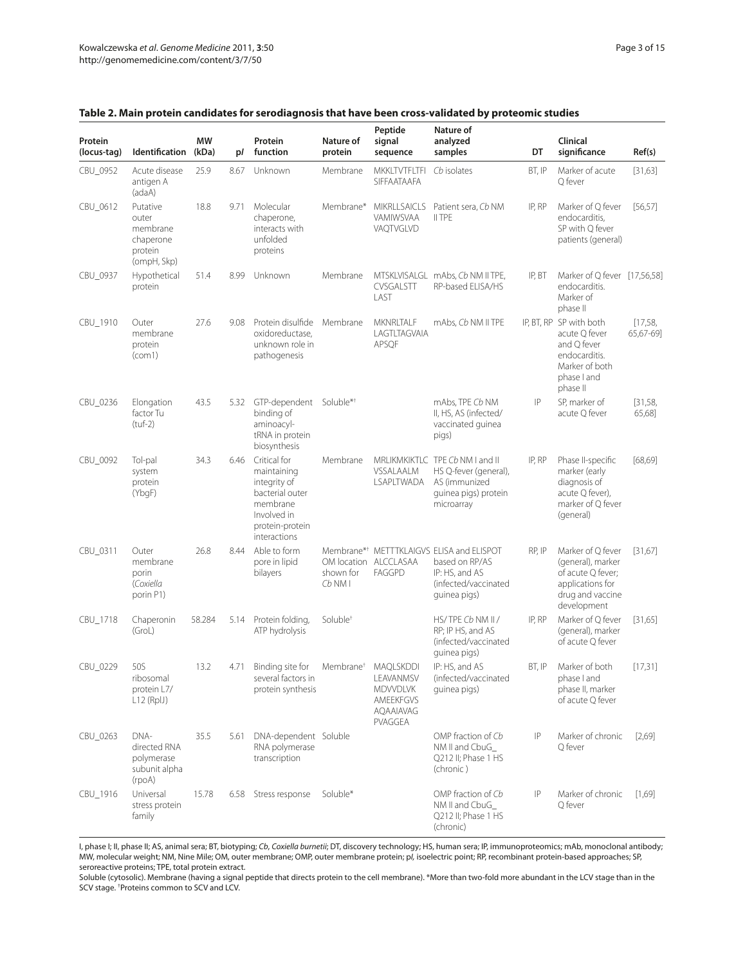| Protein<br>(locus-tag) | Identification                                                       | <b>MW</b><br>(kDa) | pl   | Protein<br>function                                                                                                          | Nature of<br>protein  | Peptide<br>signal<br>sequence                                           | Nature of<br>analyzed<br>samples                                                                                                  | DT     | Clinical<br>significance                                                                                              | Ref(s)               |
|------------------------|----------------------------------------------------------------------|--------------------|------|------------------------------------------------------------------------------------------------------------------------------|-----------------------|-------------------------------------------------------------------------|-----------------------------------------------------------------------------------------------------------------------------------|--------|-----------------------------------------------------------------------------------------------------------------------|----------------------|
| CBU_0952               | Acute disease<br>antigen A<br>(adaA)                                 | 25.9               | 8.67 | Unknown                                                                                                                      | Membrane              | <b>MKKLTVTFLTFI</b><br>SIFFAATAAFA                                      | Cb isolates                                                                                                                       | BT, IP | Marker of acute<br>Q fever                                                                                            | [31, 63]             |
| CBU_0612               | Putative<br>outer<br>membrane<br>chaperone<br>protein<br>(ompH, Skp) | 18.8               | 9.71 | Molecular<br>chaperone,<br>interacts with<br>unfolded<br>proteins                                                            | Membrane*             | MIKRLLSAICLS<br>VAMIWSVAA<br>VAQTVGLVD                                  | Patient sera, Cb NM<br><b>II TPE</b>                                                                                              | IP, RP | Marker of Q fever<br>endocarditis,<br>SP with Q fever<br>patients (general)                                           | [56, 57]             |
| CBU_0937               | Hypothetical<br>protein                                              | 51.4               | 8.99 | Unknown                                                                                                                      | Membrane              | <b>CVSGALSTT</b><br>LAST                                                | MTSKLVISALGL mAbs, Cb NM II TPE,<br>RP-based ELISA/HS                                                                             | IP, BT | Marker of Q fever [17,56,58]<br>endocarditis.<br>Marker of<br>phase II                                                |                      |
| CBU_1910               | Outer<br>membrane<br>protein<br>(com1)                               | 27.6               | 9.08 | Protein disulfide<br>oxidoreductase,<br>unknown role in<br>pathogenesis                                                      | Membrane              | MKNRLTALF<br>LAGTLTAGVAIA<br>APSQF                                      | mAbs, Cb NM II TPE                                                                                                                |        | IP, BT, RP SP with both<br>acute Q fever<br>and Q fever<br>endocarditis.<br>Marker of both<br>phase I and<br>phase II | [17,58,<br>65,67-69] |
| CBU_0236               | Elongation<br>factor Tu<br>$(tuf-2)$                                 | 43.5               | 5.32 | GTP-dependent<br>binding of<br>aminoacyl-<br>tRNA in protein<br>biosynthesis                                                 | Soluble* <sup>+</sup> |                                                                         | mAbs, TPE Cb NM<br>II, HS, AS (infected/<br>vaccinated guinea<br>pigs)                                                            | IP     | SP. marker of<br>acute Q fever                                                                                        | [31,58,<br>65,68]    |
| CBU 0092               | Tol-pal<br>system<br>protein<br>(YbgF)                               | 34.3               | 6.46 | Critical for<br>maintaining<br>integrity of<br>bacterial outer<br>membrane<br>Involved in<br>protein-protein<br>interactions | Membrane              | VSSALAALM<br>LSAPLTWADA                                                 | MRLIKMKIKTLC TPE Cb NM I and II<br>HS Q-fever (general),<br>AS (immunized<br>guinea pigs) protein<br>microarray                   | IP, RP | Phase II-specific<br>marker (early<br>diagnosis of<br>acute Q fever),<br>marker of Q fever<br>(general)               | [68, 69]             |
| CBU_0311               | Outer<br>membrane<br>porin<br>(Coxiella<br>porin P1)                 | 26.8               | 8.44 | Able to form<br>pore in lipid<br>bilayers                                                                                    | shown for<br>Cb NM I  | OM location ALCCLASAA<br><b>FAGGPD</b>                                  | Membrane* <sup>+</sup> METTTKLAIGVS ELISA and ELISPOT<br>based on RP/AS<br>IP: HS, and AS<br>(infected/vaccinated<br>quinea pigs) | RP, IP | Marker of Q fever<br>(general), marker<br>of acute Q fever;<br>applications for<br>drug and vaccine<br>development    | [31,67]              |
| CBU_1718               | Chaperonin<br>(Grol)                                                 | 58.284             | 5.14 | Protein folding,<br>ATP hydrolysis                                                                                           | Soluble <sup>+</sup>  |                                                                         | HS/TPE Cb NM II/<br>RP; IP HS, and AS<br>(infected/vaccinated<br>quinea pigs)                                                     | IP, RP | Marker of Q fever<br>(general), marker<br>of acute Q fever                                                            | [31.65]              |
| CBU_0229               | 50S<br>ribosomal<br>protein L7/<br>$L12$ (RpIJ)                      | 13.2               |      | 4.71 Binding site for Membrane <sup>†</sup> MAQLSKDDI<br>several factors in<br>protein synthesis                             |                       | LEAVANMSV<br><b>MDWDLVK</b><br>AMEEKFGVS<br><b>AQAAIAVAG</b><br>PVAGGEA | IP: HS, and AS<br>(infected/vaccinated<br>quinea pigs)                                                                            |        | BT, IP Marker of both<br>phase I and<br>phase II, marker<br>of acute Q fever                                          | [17, 31]             |
| CBU_0263               | DNA-<br>directed RNA<br>polymerase<br>subunit alpha<br>(rpoA)        | 35.5               |      | 5.61 DNA-dependent Soluble<br>RNA polymerase<br>transcription                                                                |                       |                                                                         | OMP fraction of Cb<br>NM II and CbuG_<br>Q212 II; Phase 1 HS<br>(chronic)                                                         | IP     | Marker of chronic<br>Q fever                                                                                          | [2,69]               |
| CBU_1916               | Universal<br>stress protein<br>family                                | 15.78              |      | 6.58 Stress response                                                                                                         | Soluble*              |                                                                         | OMP fraction of Cb<br>NM II and CbuG_<br>Q212 II; Phase 1 HS<br>(chronic)                                                         | ΙP     | Marker of chronic<br>Q fever                                                                                          | [1,69]               |

### **Table 2. Main protein candidates for serodiagnosis that have been cross-validated by proteomic studies**

I, phase I; II, phase II; AS, animal sera; BT, biotyping; *Cb*, *Coxiella burnetii*; DT, discovery technology; HS, human sera; IP, immunoproteomics; mAb, monoclonal antibody; MW, molecular weight; NM, Nine Mile; OM, outer membrane; OMP, outer membrane protein; p*I,* isoelectric point; RP, recombinant protein-based approaches; SP, seroreactive proteins; TPE, total protein extract.

Soluble (cytosolic). Membrane (having a signal peptide that directs protein to the cell membrane). \*More than two-fold more abundant in the LCV stage than in the SCV stage. † Proteins common to SCV and LCV.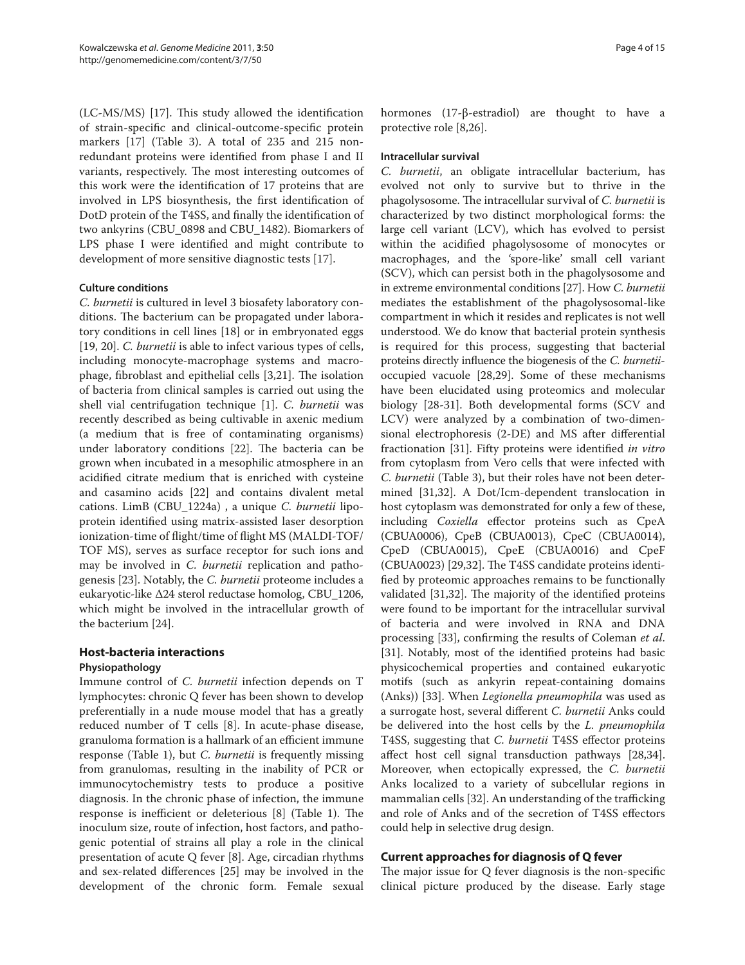(LC-MS/MS) [17]. This study allowed the identification of strain-specific and clinical-outcome-specific protein markers [17] (Table 3). A total of 235 and 215 nonredundant proteins were identified from phase I and II variants, respectively. The most interesting outcomes of this work were the identification of 17 proteins that are involved in LPS biosynthesis, the first identification of DotD protein of the T4SS, and finally the identification of two ankyrins (CBU\_0898 and CBU\_1482). Biomarkers of LPS phase I were identified and might contribute to development of more sensitive diagnostic tests [17].

# **Culture conditions**

*C. burnetii* is cultured in level 3 biosafety laboratory conditions. The bacterium can be propagated under laboratory conditions in cell lines [18] or in embryonated eggs [19, 20]. *C. burnetii* is able to infect various types of cells, including monocyte-macrophage systems and macrophage, fibroblast and epithelial cells [3,21]. The isolation of bacteria from clinical samples is carried out using the shell vial centrifugation technique [1]. *C. burnetii* was recently described as being cultivable in axenic medium (a medium that is free of contaminating organisms) under laboratory conditions [22]. The bacteria can be grown when incubated in a mesophilic atmosphere in an acidified citrate medium that is enriched with cysteine and casamino acids [22] and contains divalent metal cations. LimB (CBU\_1224a) , a unique *C. burnetii* lipoprotein identified using matrix-assisted laser desorption ionization-time of flight/time of flight MS (MALDI-TOF/ TOF MS), serves as surface receptor for such ions and may be involved in *C. burnetii* replication and pathogenesis [23]. Notably, the *C. burnetii* proteome includes a eukaryotic-like Δ24 sterol reductase homolog, CBU\_1206, which might be involved in the intracellular growth of the bacterium [24].

# **Host-bacteria interactions**

#### **Physiopathology**

Immune control of *C. burnetii* infection depends on T lymphocytes: chronic Q fever has been shown to develop preferentially in a nude mouse model that has a greatly reduced number of T cells [8]. In acute-phase disease, granuloma formation is a hallmark of an efficient immune response (Table 1), but *C. burnetii* is frequently missing from granulomas, resulting in the inability of PCR or immunocytochemistry tests to produce a positive diagnosis. In the chronic phase of infection, the immune response is inefficient or deleterious [8] (Table 1). The inoculum size, route of infection, host factors, and pathogenic potential of strains all play a role in the clinical presentation of acute Q fever [8]. Age, circadian rhythms and sex-related differences [25] may be involved in the development of the chronic form. Female sexual hormones (17-β-estradiol) are thought to have a protective role [8,26].

#### **Intracellular survival**

*C. burnetii*, an obligate intracellular bacterium, has evolved not only to survive but to thrive in the phagolysosome. The intracellular survival of *C. burnetii* is characterized by two distinct morphological forms: the large cell variant (LCV), which has evolved to persist within the acidified phagolysosome of monocytes or macrophages, and the 'spore-like' small cell variant (SCV), which can persist both in the phagolysosome and in extreme environmental conditions [27]. How *C. burnetii* mediates the establishment of the phagolysosomal-like compartment in which it resides and replicates is not well understood. We do know that bacterial protein synthesis is required for this process, suggesting that bacterial proteins directly influence the biogenesis of the *C. burnetii*occupied vacuole [28,29]. Some of these mechanisms have been elucidated using proteomics and molecular biology [28-31]. Both developmental forms (SCV and LCV) were analyzed by a combination of two-dimensional electrophoresis (2-DE) and MS after differential fractionation [31]. Fifty proteins were identified *in vitro* from cytoplasm from Vero cells that were infected with *C. burnetii* (Table 3), but their roles have not been determined [31,32]. A Dot/Icm-dependent translocation in host cytoplasm was demonstrated for only a few of these, including *Coxiella* effector proteins such as CpeA (CBUA0006), CpeB (CBUA0013), CpeC (CBUA0014), CpeD (CBUA0015), CpeE (CBUA0016) and CpeF (CBUA0023) [29,32]. The T4SS candidate proteins identified by proteomic approaches remains to be functionally validated [31,32]. The majority of the identified proteins were found to be important for the intracellular survival of bacteria and were involved in RNA and DNA processing [33], confirming the results of Coleman *et al*. [31]. Notably, most of the identified proteins had basic physicochemical properties and contained eukaryotic motifs (such as ankyrin repeat-containing domains (Anks)) [33]. When *Legionella pneumophila* was used as a surrogate host, several different *C. burnetii* Anks could be delivered into the host cells by the *L. pneumophila* T4SS, suggesting that *C. burnetii* T4SS effector proteins affect host cell signal transduction pathways [28,34]. Moreover, when ectopically expressed, the *C. burnetii* Anks localized to a variety of subcellular regions in mammalian cells [32]. An understanding of the trafficking and role of Anks and of the secretion of T4SS effectors could help in selective drug design.

# **Current approaches for diagnosis of Q fever**

The major issue for Q fever diagnosis is the non-specific clinical picture produced by the disease. Early stage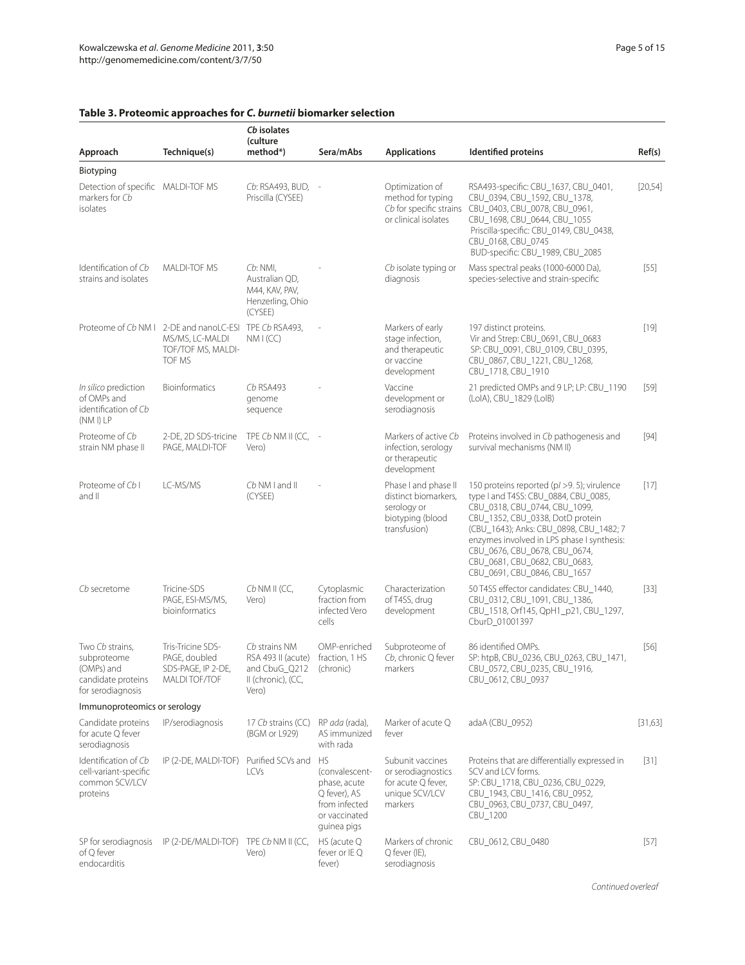# **Table 3. Proteomic approaches for** *C. burnetii* **biomarker selection**

| Approach                                                                                | Technique(s)                                                                                                     | Cb isolates<br>(culture<br>method*)                                                 | Sera/mAbs                                                                                                    | <b>Applications</b>                                                                             | Identified proteins                                                                                                                                                                                                                                                                                                                                | Ref(s)  |  |
|-----------------------------------------------------------------------------------------|------------------------------------------------------------------------------------------------------------------|-------------------------------------------------------------------------------------|--------------------------------------------------------------------------------------------------------------|-------------------------------------------------------------------------------------------------|----------------------------------------------------------------------------------------------------------------------------------------------------------------------------------------------------------------------------------------------------------------------------------------------------------------------------------------------------|---------|--|
| Biotyping                                                                               |                                                                                                                  |                                                                                     |                                                                                                              |                                                                                                 |                                                                                                                                                                                                                                                                                                                                                    |         |  |
| Detection of specific MALDI-TOF MS<br>markers for Cb<br>isolates                        |                                                                                                                  | Cb: RSA493, BUD, -<br>Priscilla (CYSEE)                                             |                                                                                                              | Optimization of<br>method for typing<br>Cb for specific strains<br>or clinical isolates         | RSA493-specific: CBU_1637, CBU_0401,<br>CBU_0394, CBU_1592, CBU_1378,<br>CBU_0403, CBU_0078, CBU_0961,<br>CBU_1698, CBU_0644, CBU_1055<br>Priscilla-specific: CBU_0149, CBU_0438,<br>CBU_0168, CBU_0745<br>BUD-specific: CBU_1989, CBU_2085                                                                                                        | [20,54] |  |
| Identification of Cb<br>strains and isolates                                            | MALDI-TOF MS                                                                                                     | Cb: NMI,<br>Australian QD,<br>M44, KAV, PAV,<br>Henzerling, Ohio<br>(CYSEE)         |                                                                                                              | Cb isolate typing or<br>diagnosis                                                               | Mass spectral peaks (1000-6000 Da),<br>species-selective and strain-specific                                                                                                                                                                                                                                                                       | $[55]$  |  |
|                                                                                         | Proteome of Cb NM   2-DE and nanoLC-ESI TPE Cb RSA493,<br>MS/MS, LC-MALDI<br>TOF/TOF MS, MALDI-<br><b>TOF MS</b> | NMI(CC)                                                                             |                                                                                                              | Markers of early<br>stage infection,<br>and therapeutic<br>or vaccine<br>development            | 197 distinct proteins.<br>Vir and Strep: CBU_0691, CBU_0683<br>SP: CBU_0091, CBU_0109, CBU_0395,<br>CBU_0867, CBU_1221, CBU_1268,<br>CBU_1718, CBU_1910                                                                                                                                                                                            | $[19]$  |  |
| In silico prediction<br>of OMPs and<br>identification of Cb<br>(NM I) LP                | Bioinformatics                                                                                                   | Cb RSA493<br>genome<br>sequence                                                     |                                                                                                              | Vaccine<br>development or<br>serodiagnosis                                                      | 21 predicted OMPs and 9 LP; LP: CBU_1190<br>(LolA), CBU_1829 (LolB)                                                                                                                                                                                                                                                                                | [59]    |  |
| Proteome of Cb<br>strain NM phase II                                                    | 2-DE, 2D SDS-tricine<br>PAGE, MALDI-TOF                                                                          | TPE $Cb$ NM II (CC, $-$<br>Vero)                                                    |                                                                                                              | Markers of active Cb<br>infection, serology<br>or therapeutic<br>development                    | Proteins involved in Cb pathogenesis and<br>survival mechanisms (NM II)                                                                                                                                                                                                                                                                            | $[94]$  |  |
| Proteome of Cb I<br>and II                                                              | LC-MS/MS                                                                                                         | Cb NM I and II<br>(CYSEE)                                                           |                                                                                                              | Phase I and phase II<br>distinct biomarkers,<br>serology or<br>biotyping (blood<br>transfusion) | 150 proteins reported (p/ >9.5); virulence<br>type I and T4SS: CBU_0884, CBU_0085,<br>CBU_0318, CBU_0744, CBU_1099,<br>CBU_1352, CBU_0338, DotD protein<br>(CBU_1643); Anks: CBU_0898, CBU_1482; 7<br>enzymes involved in LPS phase I synthesis:<br>CBU_0676, CBU_0678, CBU_0674,<br>CBU_0681, CBU_0682, CBU_0683,<br>CBU_0691, CBU_0846, CBU_1657 | [17]    |  |
| Cb secretome                                                                            | Tricine-SDS<br>PAGE, ESI-MS/MS,<br>bioinformatics                                                                | Cb NM II (CC,<br>Vero)                                                              | Cytoplasmic<br>fraction from<br>infected Vero<br>cells                                                       | Characterization<br>of T4SS, drug<br>development                                                | 50 T4SS effector candidates: CBU_1440,<br>CBU_0312, CBU_1091, CBU_1386,<br>CBU_1518, Orf145, QpH1_p21, CBU_1297,<br>CburD_01001397                                                                                                                                                                                                                 | $[33]$  |  |
| Two Cb strains,<br>subproteome<br>(OMPs) and<br>candidate proteins<br>for serodiagnosis | Tris-Tricine SDS-<br>PAGE, doubled<br>SDS-PAGE, IP 2-DE,<br>MALDI TOF/TOF                                        | Cb strains NM<br>RSA 493 II (acute)<br>and CbuG_Q212<br>II (chronic), (CC,<br>Vero) | OMP-enriched<br>fraction, 1 HS<br>(chronic)                                                                  | Subproteome of<br>Cb. chronic O fever<br>markers                                                | 86 identified OMPs.<br>SP: htpB, CBU 0236, CBU 0263, CBU 1471,<br>CBU_0572, CBU_0235, CBU_1916,<br>CBU_0612, CBU_0937                                                                                                                                                                                                                              | [56]    |  |
| Immunoproteomics or serology                                                            |                                                                                                                  |                                                                                     |                                                                                                              |                                                                                                 |                                                                                                                                                                                                                                                                                                                                                    |         |  |
| Candidate proteins<br>for acute Q fever<br>serodiagnosis                                | IP/serodiagnosis                                                                                                 | 17 Cb strains (CC)<br>(BGM or L929)                                                 | RP ada (rada),<br>AS immunized<br>with rada                                                                  | Marker of acute Q<br>fever                                                                      | adaA (CBU_0952)                                                                                                                                                                                                                                                                                                                                    | [31,63] |  |
| Identification of Cb<br>cell-variant-specific<br>common SCV/LCV<br>proteins             | IP (2-DE, MALDI-TOF)                                                                                             | Purified SCVs and<br>LCVs                                                           | <b>HS</b><br>(convalescent-<br>phase, acute<br>Q fever), AS<br>from infected<br>or vaccinated<br>guinea pigs | Subunit vaccines<br>or serodiagnostics<br>for acute Q fever,<br>unique SCV/LCV<br>markers       | Proteins that are differentially expressed in<br>SCV and LCV forms.<br>SP: CBU_1718, CBU_0236, CBU_0229,<br>CBU_1943, CBU_1416, CBU_0952,<br>CBU_0963, CBU_0737, CBU_0497,<br>CBU 1200                                                                                                                                                             | $[31]$  |  |
| SP for serodiagnosis<br>of Q fever<br>endocarditis                                      | IP (2-DE/MALDI-TOF) TPE Cb NM II (CC,                                                                            | Vero)                                                                               | $HS$ (acute $Q$<br>fever or IE Q<br>fever)                                                                   | Markers of chronic<br>Q fever (IE),<br>serodiagnosis                                            | CBU_0612, CBU_0480                                                                                                                                                                                                                                                                                                                                 | $[57]$  |  |

*Continued overleaf*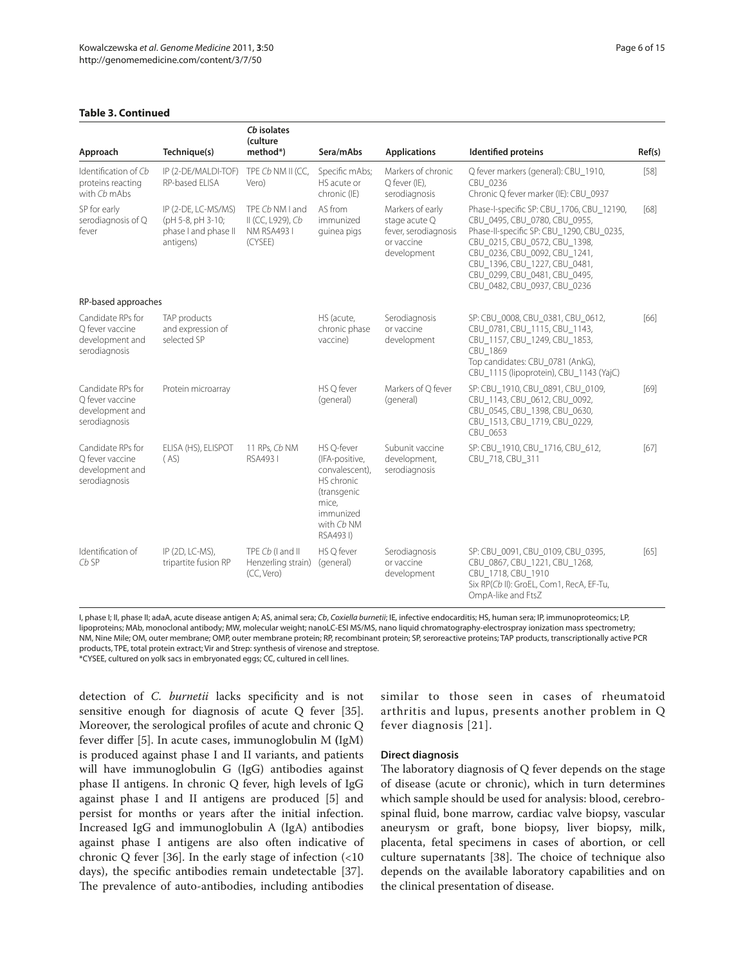#### **Table 3. Continued**

| Approach                                                                 | Technique(s)                                                                  | Cb isolates<br>(culture<br>method*)                           | Sera/mAbs                                                                                                                    | <b>Applications</b>                                                                    | <b>Identified proteins</b>                                                                                                                                                                                                                                                                  | Ref(s) |
|--------------------------------------------------------------------------|-------------------------------------------------------------------------------|---------------------------------------------------------------|------------------------------------------------------------------------------------------------------------------------------|----------------------------------------------------------------------------------------|---------------------------------------------------------------------------------------------------------------------------------------------------------------------------------------------------------------------------------------------------------------------------------------------|--------|
| Identification of Cb<br>proteins reacting<br>with Cb mAbs                | IP (2-DE/MALDI-TOF)<br>RP-based ELISA                                         | TPE Cb NM II (CC,<br>Vero)                                    | Specific mAbs;<br>HS acute or<br>chronic (IE)                                                                                | Markers of chronic<br>O fever (IE).<br>serodiagnosis                                   | Q fever markers (general): CBU_1910,<br>CBU 0236<br>Chronic Q fever marker (IE): CBU_0937                                                                                                                                                                                                   | $[58]$ |
| SP for early<br>serodiagnosis of Q<br>fever                              | IP (2-DE, LC-MS/MS)<br>(pH 5-8, pH 3-10;<br>phase I and phase II<br>antigens) | TPE Cb NM I and<br>II (CC, L929), Cb<br>NM RSA4931<br>(CYSEE) | AS from<br>immunized<br>quinea pigs                                                                                          | Markers of early<br>stage acute Q<br>fever, serodiagnosis<br>or vaccine<br>development | Phase-I-specific SP: CBU 1706, CBU 12190,<br>CBU_0495, CBU_0780, CBU_0955,<br>Phase-II-specific SP: CBU 1290, CBU 0235,<br>CBU_0215, CBU_0572, CBU_1398,<br>CBU_0236, CBU_0092, CBU_1241,<br>CBU 1396, CBU 1227, CBU 0481,<br>CBU_0299, CBU_0481, CBU_0495,<br>CBU 0482, CBU 0937, CBU 0236 | [68]   |
| RP-based approaches                                                      |                                                                               |                                                               |                                                                                                                              |                                                                                        |                                                                                                                                                                                                                                                                                             |        |
| Candidate RPs for<br>O fever vaccine<br>development and<br>serodiagnosis | TAP products<br>and expression of<br>selected SP                              |                                                               | HS (acute,<br>chronic phase<br>vaccine)                                                                                      | Serodiagnosis<br>or vaccine<br>development                                             | SP: CBU_0008, CBU_0381, CBU_0612,<br>CBU_0781, CBU_1115, CBU_1143,<br>CBU_1157, CBU_1249, CBU_1853,<br>CBU 1869<br>Top candidates: CBU 0781 (AnkG),<br>CBU_1115 (lipoprotein), CBU_1143 (YajC)                                                                                              | [66]   |
| Candidate RPs for<br>O fever vaccine<br>development and<br>serodiagnosis | Protein microarray                                                            |                                                               | HS O fever<br>(general)                                                                                                      | Markers of Q fever<br>(general)                                                        | SP: CBU_1910, CBU_0891, CBU_0109,<br>CBU_1143, CBU_0612, CBU_0092,<br>CBU 0545, CBU 1398, CBU 0630,<br>CBU_1513, CBU_1719, CBU_0229,<br>CBU 0653                                                                                                                                            | [69]   |
| Candidate RPs for<br>O fever vaccine<br>development and<br>serodiagnosis | ELISA (HS), ELISPOT<br>(AS)                                                   | 11 RPs, Cb NM<br>RSA4931                                      | HS O-fever<br>(IFA-positive,<br>convalescent),<br>HS chronic<br>(transgenic<br>mice,<br>immunized<br>with Cb NM<br>RSA493 I) | Subunit vaccine<br>development,<br>serodiagnosis                                       | SP: CBU 1910, CBU 1716, CBU 612,<br>CBU 718, CBU 311                                                                                                                                                                                                                                        | [67]   |
| Identification of<br>$Cb$ SP                                             | IP (2D, LC-MS),<br>tripartite fusion RP                                       | TPE Cb (I and II<br>Henzerling strain)<br>(CC, Vero)          | HS O fever<br>(general)                                                                                                      | Serodiagnosis<br>or vaccine<br>development                                             | SP: CBU 0091, CBU 0109, CBU 0395,<br>CBU_0867, CBU_1221, CBU_1268,<br>CBU 1718, CBU 1910<br>Six RP(Cb II): GroEL, Com1, RecA, EF-Tu,<br>OmpA-like and FtsZ                                                                                                                                  | [65]   |

I, phase I; II, phase II; adaA, acute disease antigen A; AS, animal sera; *Cb*, *Coxiella burnetii*; IE, infective endocarditis; HS, human sera; IP, immunoproteomics; LP, lipoproteins; MAb, monoclonal antibody; MW, molecular weight; nanoLC-ESI MS/MS, nano liquid chromatography-electrospray ionization mass spectrometry; NM, Nine Mile; OM, outer membrane; OMP, outer membrane protein; RP, recombinant protein; SP, seroreactive proteins; TAP products, transcriptionally active PCR products, TPE, total protein extract; Vir and Strep: synthesis of virenose and streptose.

\*CYSEE, cultured on yolk sacs in embryonated eggs; CC, cultured in cell lines.

detection of *C. burnetii* lacks specificity and is not sensitive enough for diagnosis of acute Q fever [35]. Moreover, the serological profiles of acute and chronic Q fever differ [5]. In acute cases, immunoglobulin M **(**IgM) is produced against phase I and II variants, and patients will have immunoglobulin G (IgG) antibodies against phase II antigens. In chronic Q fever, high levels of IgG against phase I and II antigens are produced [5] and persist for months or years after the initial infection. Increased IgG and immunoglobulin A (IgA) antibodies against phase I antigens are also often indicative of chronic Q fever [36]. In the early stage of infection (<10 days), the specific antibodies remain undetectable [37]. The prevalence of auto-antibodies, including antibodies similar to those seen in cases of rheumatoid arthritis and lupus, presents another problem in Q fever diagnosis [21].

#### **Direct diagnosis**

The laboratory diagnosis of Q fever depends on the stage of disease (acute or chronic), which in turn determines which sample should be used for analysis: blood, cerebrospinal fluid, bone marrow, cardiac valve biopsy, vascular aneurysm or graft, bone biopsy, liver biopsy, milk, placenta, fetal specimens in cases of abortion, or cell culture supernatants [38]. The choice of technique also depends on the available laboratory capabilities and on the clinical presentation of disease.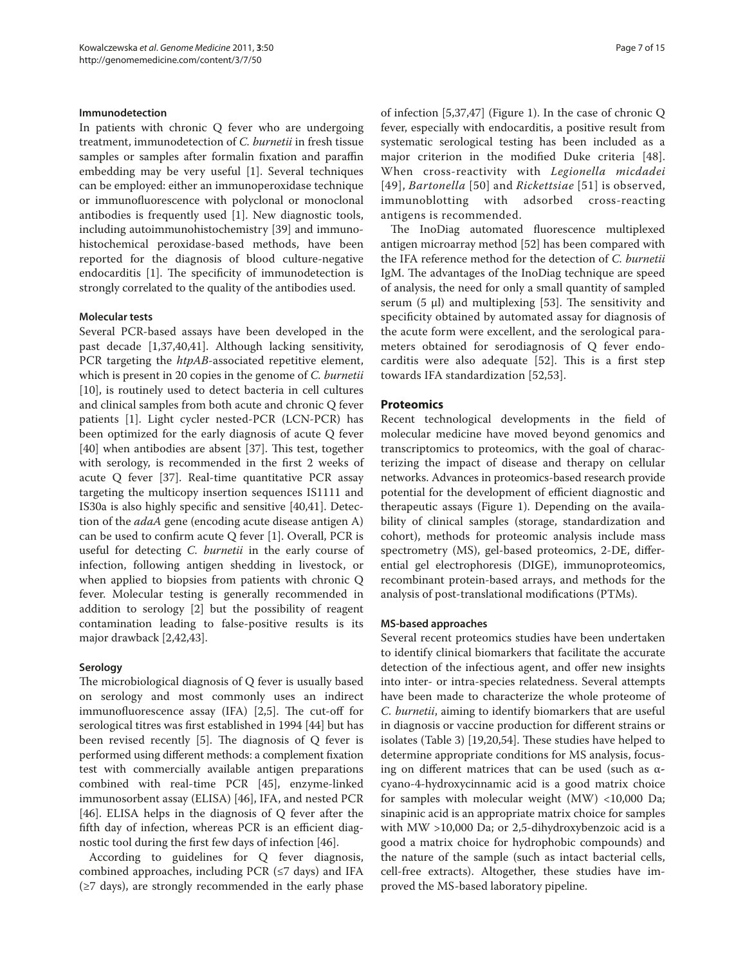#### **Immunodetection**

In patients with chronic Q fever who are undergoing treatment, immunodetection of *C. burnetii* in fresh tissue samples or samples after formalin fixation and paraffin embedding may be very useful [1]. Several techniques can be employed: either an immunoperoxidase technique or immunofluorescence with polyclonal or monoclonal antibodies is frequently used [1]. New diagnostic tools, including autoimmunohistochemistry [39] and immunohistochemical peroxidase-based methods, have been reported for the diagnosis of blood culture-negative endocarditis [1]. The specificity of immunodetection is strongly correlated to the quality of the antibodies used.

#### **Molecular tests**

Several PCR-based assays have been developed in the past decade [1,37,40,41]. Although lacking sensitivity, PCR targeting the *htpAB*-associated repetitive element, which is present in 20 copies in the genome of *C. burnetii* [10], is routinely used to detect bacteria in cell cultures and clinical samples from both acute and chronic Q fever patients [1]. Light cycler nested-PCR (LCN-PCR) has been optimized for the early diagnosis of acute Q fever [40] when antibodies are absent [37]. This test, together with serology, is recommended in the first 2 weeks of acute Q fever [37]. Real-time quantitative PCR assay targeting the multicopy insertion sequences IS1111 and IS30a is also highly specific and sensitive [40,41]. Detection of the *adaA* gene (encoding acute disease antigen A) can be used to confirm acute Q fever [1]. Overall, PCR is useful for detecting *C. burnetii* in the early course of infection, following antigen shedding in livestock, or when applied to biopsies from patients with chronic Q fever. Molecular testing is generally recommended in addition to serology [2] but the possibility of reagent contamination leading to false-positive results is its major drawback [2,42,43].

#### **Serology**

The microbiological diagnosis of Q fever is usually based on serology and most commonly uses an indirect immunofluorescence assay (IFA) [2,5]. The cut-off for serological titres was first established in 1994 [44] but has been revised recently [5]. The diagnosis of Q fever is performed using different methods: a complement fixation test with commercially available antigen preparations combined with real-time PCR [45], enzyme-linked immunosorbent assay (ELISA) [46], IFA, and nested PCR [46]. ELISA helps in the diagnosis of Q fever after the fifth day of infection, whereas PCR is an efficient diagnostic tool during the first few days of infection [46].

According to guidelines for Q fever diagnosis, combined approaches, including PCR  $(\leq 7)$  days) and IFA (≥7 days), are strongly recommended in the early phase of infection [5,37,47] (Figure 1). In the case of chronic Q fever, especially with endocarditis, a positive result from systematic serological testing has been included as a major criterion in the modified Duke criteria [48]. When cross-reactivity with *Legionella micdadei* [49], *Bartonella* [50] and *Rickettsiae* [51] is observed, immunoblotting with adsorbed cross-reacting antigens is recommended.

The InoDiag automated fluorescence multiplexed antigen microarray method [52] has been compared with the IFA reference method for the detection of *C. burnetii* IgM. The advantages of the InoDiag technique are speed of analysis, the need for only a small quantity of sampled serum  $(5 \mu l)$  and multiplexing [53]. The sensitivity and specificity obtained by automated assay for diagnosis of the acute form were excellent, and the serological parameters obtained for serodiagnosis of Q fever endocarditis were also adequate [52]. This is a first step towards IFA standardization [52,53].

#### **Proteomics**

Recent technological developments in the field of molecular medicine have moved beyond genomics and transcriptomics to proteomics, with the goal of characterizing the impact of disease and therapy on cellular networks. Advances in proteomics-based research provide potential for the development of efficient diagnostic and therapeutic assays (Figure 1). Depending on the availability of clinical samples (storage, standardization and cohort), methods for proteomic analysis include mass spectrometry (MS), gel-based proteomics, 2-DE, differential gel electrophoresis (DIGE), immunoproteomics, recombinant protein-based arrays, and methods for the analysis of post-translational modifications (PTMs).

#### **MS-based approaches**

Several recent proteomics studies have been undertaken to identify clinical biomarkers that facilitate the accurate detection of the infectious agent, and offer new insights into inter- or intra-species relatedness. Several attempts have been made to characterize the whole proteome of *C. burnetii*, aiming to identify biomarkers that are useful in diagnosis or vaccine production for different strains or isolates (Table 3) [19,20,54]. These studies have helped to determine appropriate conditions for MS analysis, focusing on different matrices that can be used (such as αcyano-4-hydroxycinnamic acid is a good matrix choice for samples with molecular weight (MW) <10,000 Da; sinapinic acid is an appropriate matrix choice for samples with MW >10,000 Da; or 2,5-dihydroxybenzoic acid is a good a matrix choice for hydrophobic compounds) and the nature of the sample (such as intact bacterial cells, cell-free extracts). Altogether, these studies have improved the MS-based laboratory pipeline.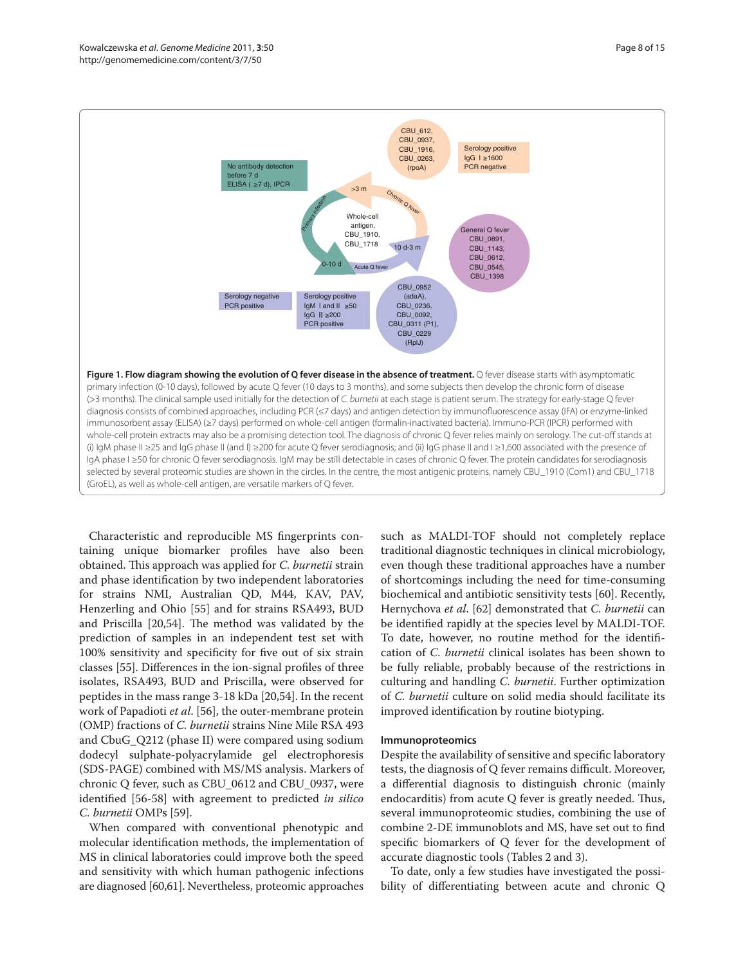

Characteristic and reproducible MS fingerprints containing unique biomarker profiles have also been obtained. This approach was applied for *C. burnetii* strain and phase identification by two independent laboratories for strains NMI, Australian QD, M44, KAV, PAV, Henzerling and Ohio [55] and for strains RSA493, BUD and Priscilla [20,54]. The method was validated by the prediction of samples in an independent test set with 100% sensitivity and specificity for five out of six strain classes [55]. Differences in the ion-signal profiles of three isolates, RSA493, BUD and Priscilla, were observed for peptides in the mass range 3-18 kDa [20,54]. In the recent work of Papadioti *et al*. [56], the outer-membrane protein (OMP) fractions of *C. burnetii* strains Nine Mile RSA 493 and CbuG\_Q212 (phase II) were compared using sodium dodecyl sulphate-polyacrylamide gel electrophoresis (SDS-PAGE) combined with MS/MS analysis. Markers of chronic Q fever, such as CBU\_0612 and CBU\_0937, were identified [56-58] with agreement to predicted *in silico C. burnetii* OMPs [59].

When compared with conventional phenotypic and molecular identification methods, the implementation of MS in clinical laboratories could improve both the speed and sensitivity with which human pathogenic infections are diagnosed [60,61]. Nevertheless, proteomic approaches

such as MALDI-TOF should not completely replace traditional diagnostic techniques in clinical microbiology, even though these traditional approaches have a number of shortcomings including the need for time-consuming biochemical and antibiotic sensitivity tests [60]. Recently, Hernychova *et al*. [62] demonstrated that *C. burnetii* can be identified rapidly at the species level by MALDI-TOF. To date, however, no routine method for the identification of *C. burnetii* clinical isolates has been shown to be fully reliable, probably because of the restrictions in culturing and handling *C. burnetii*. Further optimization of *C. burnetii* culture on solid media should facilitate its improved identification by routine biotyping.

#### **Immunoproteomics**

Despite the availability of sensitive and specific laboratory tests, the diagnosis of Q fever remains difficult. Moreover, a differential diagnosis to distinguish chronic (mainly endocarditis) from acute Q fever is greatly needed. Thus, several immunoproteomic studies, combining the use of combine 2-DE immunoblots and MS, have set out to find specific biomarkers of Q fever for the development of accurate diagnostic tools (Tables 2 and 3).

To date, only a few studies have investigated the possibility of differentiating between acute and chronic Q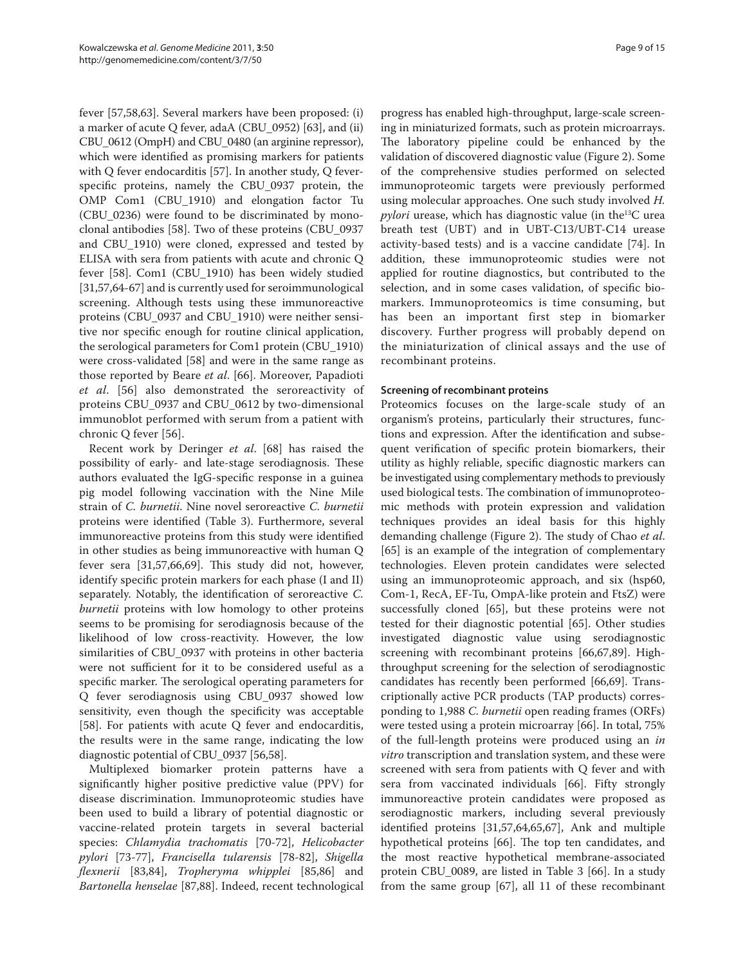fever [57,58,63]. Several markers have been proposed: (i) a marker of acute Q fever, adaA (CBU\_0952) [63], and (ii) CBU\_0612 (OmpH) and CBU\_0480 (an arginine repressor), which were identified as promising markers for patients with Q fever endocarditis [57]. In another study, Q feverspecific proteins, namely the CBU\_0937 protein, the OMP Com1 (CBU\_1910) and elongation factor Tu (CBU 0236) were found to be discriminated by monoclonal antibodies [58]. Two of these proteins (CBU\_0937 and CBU\_1910) were cloned, expressed and tested by ELISA with sera from patients with acute and chronic Q fever [58]. Com1 (CBU\_1910) has been widely studied [31,57,64-67] and is currently used for seroimmunological screening. Although tests using these immunoreactive proteins (CBU\_0937 and CBU\_1910) were neither sensitive nor specific enough for routine clinical application, the serological parameters for Com1 protein (CBU\_1910) were cross-validated [58] and were in the same range as those reported by Beare *et al*. [66]. Moreover, Papadioti *et al*. [56] also demonstrated the seroreactivity of proteins CBU\_0937 and CBU\_0612 by two-dimensional immunoblot performed with serum from a patient with chronic Q fever [56].

Recent work by Deringer *et al*. [68] has raised the possibility of early- and late-stage serodiagnosis. These authors evaluated the IgG-specific response in a guinea pig model following vaccination with the Nine Mile strain of *C. burnetii*. Nine novel seroreactive *C. burnetii* proteins were identified (Table 3). Furthermore, several immunoreactive proteins from this study were identified in other studies as being immunoreactive with human Q fever sera [31,57,66,69]. This study did not, however, identify specific protein markers for each phase (I and II) separately. Notably, the identification of seroreactive *C. burnetii* proteins with low homology to other proteins seems to be promising for serodiagnosis because of the likelihood of low cross-reactivity. However, the low similarities of CBU\_0937 with proteins in other bacteria were not sufficient for it to be considered useful as a specific marker. The serological operating parameters for Q fever serodiagnosis using CBU\_0937 showed low sensitivity, even though the specificity was acceptable [58]. For patients with acute Q fever and endocarditis, the results were in the same range, indicating the low diagnostic potential of CBU\_0937 [56,58].

Multiplexed biomarker protein patterns have a significantly higher positive predictive value (PPV) for disease discrimination. Immunoproteomic studies have been used to build a library of potential diagnostic or vaccine-related protein targets in several bacterial species: *Chlamydia trachomatis* [70-72], *Helicobacter pylori* [73-77], *Francisella tularensis* [78-82], *Shigella flexnerii* [83,84], *Tropheryma whipplei* [85,86] and *Bartonella henselae* [87,88]. Indeed, recent technological progress has enabled high-throughput, large-scale screening in miniaturized formats, such as protein microarrays. The laboratory pipeline could be enhanced by the validation of discovered diagnostic value (Figure 2). Some of the comprehensive studies performed on selected immunoproteomic targets were previously performed using molecular approaches. One such study involved *H. pylori* urease, which has diagnostic value (in the<sup>13</sup>C urea breath test (UBT) and in UBT-C13/UBT-C14 urease activity-based tests) and is a vaccine candidate [74]. In addition, these immunoproteomic studies were not applied for routine diagnostics, but contributed to the selection, and in some cases validation, of specific biomarkers. Immunoproteomics is time consuming, but has been an important first step in biomarker discovery. Further progress will probably depend on the miniaturization of clinical assays and the use of recombinant proteins.

# **Screening of recombinant proteins**

Proteomics focuses on the large-scale study of an organism's proteins, particularly their structures, functions and expression. After the identification and subsequent verification of specific protein biomarkers, their utility as highly reliable, specific diagnostic markers can be investigated using complementary methods to previously used biological tests. The combination of immunoproteomic methods with protein expression and validation techniques provides an ideal basis for this highly demanding challenge (Figure 2). The study of Chao *et al*. [65] is an example of the integration of complementary technologies. Eleven protein candidates were selected using an immunoproteomic approach, and six (hsp60, Com-1, RecA, EF-Tu, OmpA-like protein and FtsZ) were successfully cloned [65], but these proteins were not tested for their diagnostic potential [65]. Other studies investigated diagnostic value using serodiagnostic screening with recombinant proteins [66,67,89]. Highthroughput screening for the selection of serodiagnostic candidates has recently been performed [66,69]. Transcriptionally active PCR products (TAP products) corresponding to 1,988 *C. burnetii* open reading frames (ORFs) were tested using a protein microarray [66]. In total, 75% of the full-length proteins were produced using an *in vitro* transcription and translation system, and these were screened with sera from patients with Q fever and with sera from vaccinated individuals [66]. Fifty strongly immunoreactive protein candidates were proposed as serodiagnostic markers, including several previously identified proteins [31,57,64,65,67], Ank and multiple hypothetical proteins [66]. The top ten candidates, and the most reactive hypothetical membrane-associated protein CBU\_0089, are listed in Table 3 [66]. In a study from the same group [67], all 11 of these recombinant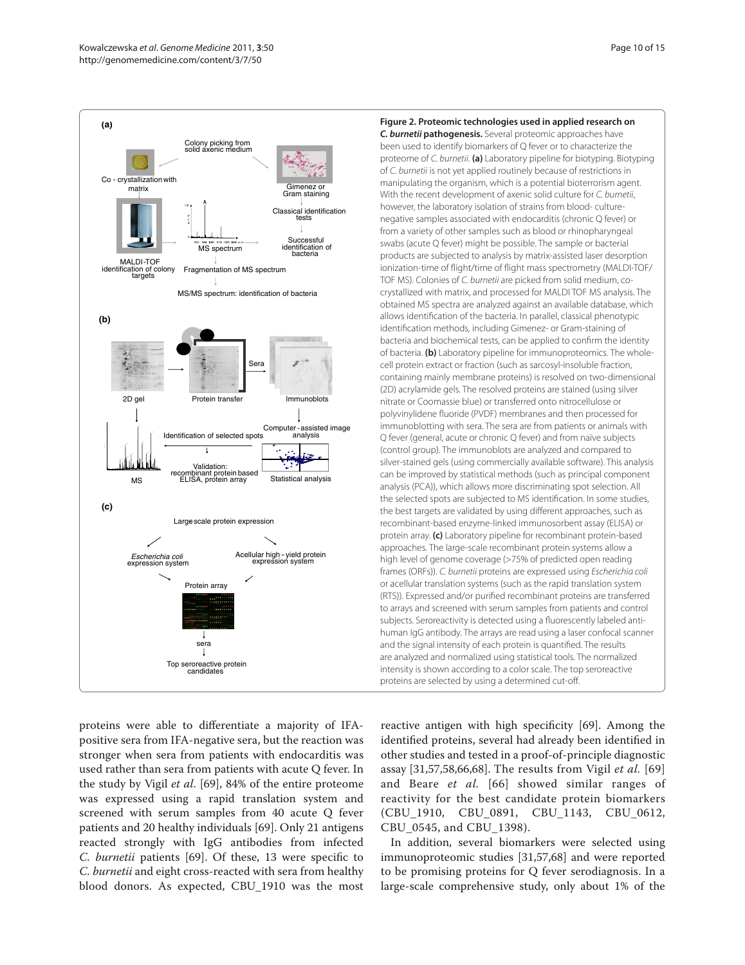

reactive antigen with high specificity [69]. Among the With the recent development of axenic solid culture for *C. burnetii*, however, the laboratory isolation of strains from blood- culturenegative samples associated with endocarditis (chronic Q fever) or from a variety of other samples such as blood or rhinopharyngeal swabs (acute Q fever) might be possible. The sample or bacterial products are subjected to analysis by matrix-assisted laser desorption ionization-time of flight/time of flight mass spectrometry (MALDI-TOF/ TOF MS). Colonies of *C. burnetii* are picked from solid medium, cocrystallized with matrix, and processed for MALDI TOF MS analysis. The obtained MS spectra are analyzed against an available database, which allows identification of the bacteria. In parallel, classical phenotypic identification methods, including Gimenez- or Gram-staining of bacteria and biochemical tests, can be applied to confirm the identity of bacteria. **(b)** Laboratory pipeline for immunoproteomics. The wholecell protein extract or fraction (such as sarcosyl-insoluble fraction, containing mainly membrane proteins) is resolved on two-dimensional (2D) acrylamide gels. The resolved proteins are stained (using silver nitrate or Coomassie blue) or transferred onto nitrocellulose or polyvinylidene fluoride (PVDF) membranes and then processed for immunoblotting with sera. The sera are from patients or animals with Q fever (general, acute or chronic Q fever) and from naïve subjects (control group). The immunoblots are analyzed and compared to silver-stained gels (using commercially available software). This analysis can be improved by statistical methods (such as principal component analysis (PCA)), which allows more discriminating spot selection. All the selected spots are subjected to MS identification. In some studies, the best targets are validated by using different approaches, such as recombinant-based enzyme-linked immunosorbent assay (ELISA) or protein array. **(c)** Laboratory pipeline for recombinant protein-based approaches. The large-scale recombinant protein systems allow a high level of genome coverage (>75% of predicted open reading frames (ORFs)). *C. burnetii* proteins are expressed using *Escherichia coli* or acellular translation systems (such as the rapid translation system (RTS)). Expressed and/or purified recombinant proteins are transferred to arrays and screened with serum samples from patients and control subjects. Seroreactivity is detected using a fluorescently labeled antihuman IgG antibody. The arrays are read using a laser confocal scanner and the signal intensity of each protein is quantified. The results are analyzed and normalized using statistical tools. The normalized intensity is shown according to a color scale. The top seroreactive proteins are selected by using a determined cut-off.

**Figure 2. Proteomic technologies used in applied research on**  *C. burnetii* **pathogenesis.** Several proteomic approaches have been used to identify biomarkers of Q fever or to characterize the proteome of *C. burnetii*. **(a)** Laboratory pipeline for biotyping. Biotyping of *C. burnetii* is not yet applied routinely because of restrictions in manipulating the organism, which is a potential bioterrorism agent.

proteins were able to differentiate a majority of IFApositive sera from IFA-negative sera, but the reaction was stronger when sera from patients with endocarditis was used rather than sera from patients with acute Q fever. In the study by Vigil *et al*. [69], 84% of the entire proteome was expressed using a rapid translation system and screened with serum samples from 40 acute Q fever patients and 20 healthy individuals [69]. Only 21 antigens reacted strongly with IgG antibodies from infected *C. burnetii* patients [69]. Of these, 13 were specific to *C. burnetii* and eight cross-reacted with sera from healthy blood donors. As expected, CBU\_1910 was the most

identified proteins, several had already been identified in other studies and tested in a proof-of-principle diagnostic assay [31,57,58,66,68]. The results from Vigil *et al.* [69] and Beare *et al.* [66] showed similar ranges of reactivity for the best candidate protein biomarkers (CBU\_1910, CBU\_0891, CBU\_1143, CBU\_0612, CBU\_0545, and CBU\_1398).

In addition, several biomarkers were selected using immunoproteomic studies [31,57,68] and were reported to be promising proteins for Q fever serodiagnosis. In a large-scale comprehensive study, only about 1% of the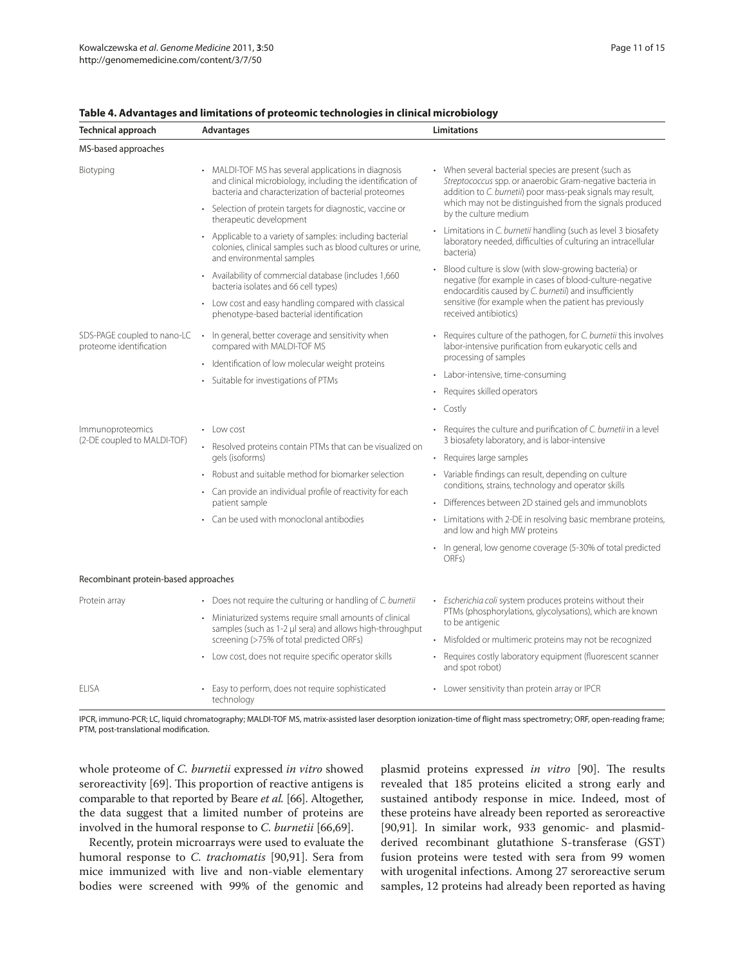Page 11 of 15

| <b>Technical approach</b>                              | Advantages                                                                                                                                                                 | <b>Limitations</b>                                                                                                                                                                |  |  |  |
|--------------------------------------------------------|----------------------------------------------------------------------------------------------------------------------------------------------------------------------------|-----------------------------------------------------------------------------------------------------------------------------------------------------------------------------------|--|--|--|
| MS-based approaches                                    |                                                                                                                                                                            |                                                                                                                                                                                   |  |  |  |
| Biotyping                                              | • MALDI-TOF MS has several applications in diagnosis<br>and clinical microbiology, including the identification of<br>bacteria and characterization of bacterial proteomes | • When several bacterial species are present (such as<br>Streptococcus spp. or anaerobic Gram-negative bacteria in<br>addition to C. burnetii) poor mass-peak signals may result, |  |  |  |
|                                                        | • Selection of protein targets for diagnostic, vaccine or<br>therapeutic development                                                                                       | which may not be distinguished from the signals produced<br>by the culture medium                                                                                                 |  |  |  |
|                                                        | • Applicable to a variety of samples: including bacterial<br>colonies, clinical samples such as blood cultures or urine,<br>and environmental samples                      | Limitations in C. burnetii handling (such as level 3 biosafety<br>laboratory needed, difficulties of culturing an intracellular<br>bacteria)                                      |  |  |  |
|                                                        | • Availability of commercial database (includes 1,660<br>bacteria isolates and 66 cell types)                                                                              | Blood culture is slow (with slow-growing bacteria) or<br>negative (for example in cases of blood-culture-negative<br>endocarditis caused by C. burnetii) and insufficiently       |  |  |  |
|                                                        | • Low cost and easy handling compared with classical<br>phenotype-based bacterial identification                                                                           | sensitive (for example when the patient has previously<br>received antibiotics)                                                                                                   |  |  |  |
| SDS-PAGE coupled to nano-LC<br>proteome identification | · In general, better coverage and sensitivity when<br>compared with MALDI-TOF MS                                                                                           | Requires culture of the pathogen, for C. burnetii this involves<br>labor-intensive purification from eukaryotic cells and                                                         |  |  |  |
|                                                        | · Identification of low molecular weight proteins                                                                                                                          | processing of samples                                                                                                                                                             |  |  |  |
|                                                        | • Suitable for investigations of PTMs                                                                                                                                      | Labor-intensive, time-consuming                                                                                                                                                   |  |  |  |
|                                                        |                                                                                                                                                                            | Requires skilled operators                                                                                                                                                        |  |  |  |
|                                                        |                                                                                                                                                                            | Costly                                                                                                                                                                            |  |  |  |
| Immunoproteomics<br>(2-DE coupled to MALDI-TOF)        | • Low cost<br>• Resolved proteins contain PTMs that can be visualized on                                                                                                   | Requires the culture and purification of C. burnetii in a level<br>3 biosafety laboratory, and is labor-intensive                                                                 |  |  |  |
|                                                        | gels (isoforms)                                                                                                                                                            | Requires large samples                                                                                                                                                            |  |  |  |
|                                                        | • Robust and suitable method for biomarker selection                                                                                                                       | • Variable findings can result, depending on culture                                                                                                                              |  |  |  |
|                                                        | • Can provide an individual profile of reactivity for each                                                                                                                 | conditions, strains, technology and operator skills                                                                                                                               |  |  |  |
|                                                        | patient sample                                                                                                                                                             | Differences between 2D stained gels and immunoblots                                                                                                                               |  |  |  |
|                                                        | • Can be used with monoclonal antibodies                                                                                                                                   | Limitations with 2-DE in resolving basic membrane proteins,<br>and low and high MW proteins                                                                                       |  |  |  |
|                                                        |                                                                                                                                                                            | In general, low genome coverage (5-30% of total predicted<br>ORFs)                                                                                                                |  |  |  |
| Recombinant protein-based approaches                   |                                                                                                                                                                            |                                                                                                                                                                                   |  |  |  |
| Protein array                                          | • Does not require the culturing or handling of C. burnetii                                                                                                                | Escherichia coli system produces proteins without their<br>PTMs (phosphorylations, glycolysations), which are known<br>to be antigenic                                            |  |  |  |
|                                                        | Miniaturized systems require small amounts of clinical<br>samples (such as 1-2 µl sera) and allows high-throughput                                                         |                                                                                                                                                                                   |  |  |  |
|                                                        | screening (>75% of total predicted ORFs)                                                                                                                                   | Misfolded or multimeric proteins may not be recognized                                                                                                                            |  |  |  |
|                                                        | • Low cost, does not require specific operator skills                                                                                                                      | Requires costly laboratory equipment (fluorescent scanner<br>and spot robot)                                                                                                      |  |  |  |
| <b>ELISA</b>                                           | Easy to perform, does not require sophisticated<br>technology                                                                                                              | Lower sensitivity than protein array or IPCR                                                                                                                                      |  |  |  |

#### **Table 4. Advantages and limitations of proteomic technologies in clinical microbiology**

IPCR, immuno-PCR; LC, liquid chromatography; MALDI-TOF MS, matrix-assisted laser desorption ionization-time of flight mass spectrometry; ORF, open-reading frame; PTM, post-translational modification.

whole proteome of *C. burnetii* expressed *in vitro* showed seroreactivity [69]. This proportion of reactive antigens is comparable to that reported by Beare *et al.* [66]. Altogether, the data suggest that a limited number of proteins are involved in the humoral response to *C. burnetii* [66,69].

Recently, protein microarrays were used to evaluate the humoral response to *C. trachomatis* [90,91]. Sera from mice immunized with live and non-viable elementary bodies were screened with 99% of the genomic and plasmid proteins expressed *in vitro* [90]. The results revealed that 185 proteins elicited a strong early and sustained antibody response in mice. Indeed, most of these proteins have already been reported as seroreactive [90,91]*.* In similar work, 933 genomic- and plasmidderived recombinant glutathione S-transferase (GST) fusion proteins were tested with sera from 99 women with urogenital infections. Among 27 seroreactive serum samples, 12 proteins had already been reported as having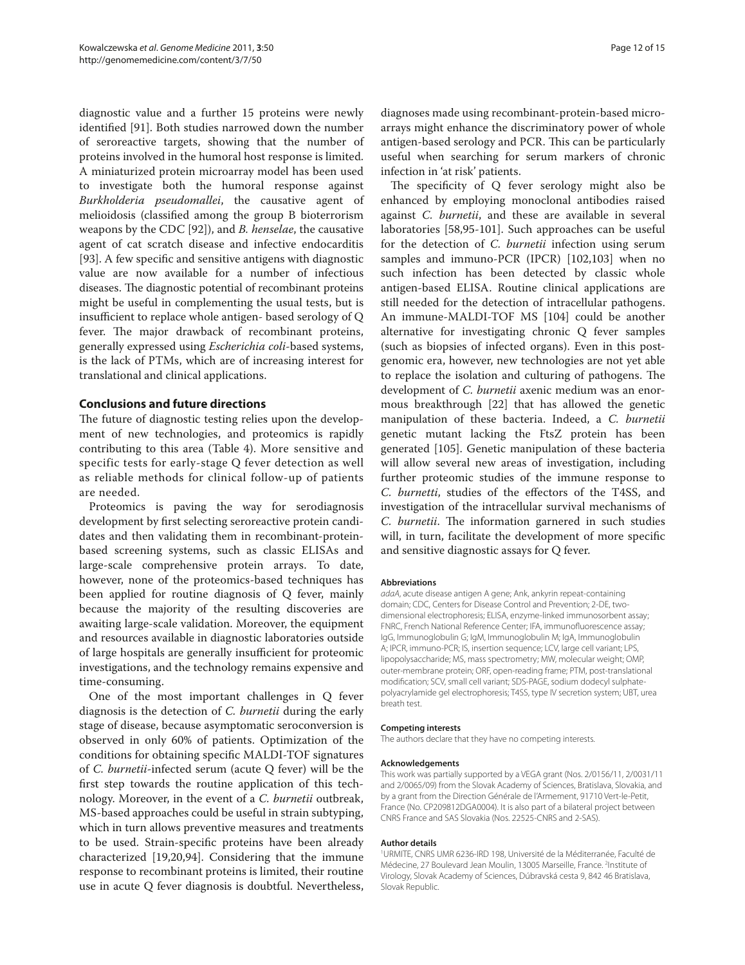diagnostic value and a further 15 proteins were newly identified [91]. Both studies narrowed down the number of seroreactive targets, showing that the number of proteins involved in the humoral host response is limited. A miniaturized protein microarray model has been used to investigate both the humoral response against *Burkholderia pseudomallei*, the causative agent of melioidosis (classified among the group B bioterrorism weapons by the CDC [92]), and *B. henselae*, the causative agent of cat scratch disease and infective endocarditis [93]. A few specific and sensitive antigens with diagnostic value are now available for a number of infectious diseases. The diagnostic potential of recombinant proteins might be useful in complementing the usual tests, but is insufficient to replace whole antigen- based serology of Q fever. The major drawback of recombinant proteins, generally expressed using *Escherichia coli*-based systems, is the lack of PTMs, which are of increasing interest for translational and clinical applications.

# **Conclusions and future directions**

The future of diagnostic testing relies upon the development of new technologies, and proteomics is rapidly contributing to this area (Table 4). More sensitive and specific tests for early-stage Q fever detection as well as reliable methods for clinical follow-up of patients are needed.

Proteomics is paving the way for serodiagnosis development by first selecting seroreactive protein candidates and then validating them in recombinant-proteinbased screening systems, such as classic ELISAs and large-scale comprehensive protein arrays. To date, however, none of the proteomics-based techniques has been applied for routine diagnosis of Q fever, mainly because the majority of the resulting discoveries are awaiting large-scale validation. Moreover, the equipment and resources available in diagnostic laboratories outside of large hospitals are generally insufficient for proteomic investigations, and the technology remains expensive and time-consuming.

One of the most important challenges in Q fever diagnosis is the detection of *C. burnetii* during the early stage of disease, because asymptomatic seroconversion is observed in only 60% of patients. Optimization of the conditions for obtaining specific MALDI-TOF signatures of *C. burnetii-*infected serum (acute Q fever) will be the first step towards the routine application of this technology. Moreover, in the event of a *C. burnetii* outbreak, MS-based approaches could be useful in strain subtyping, which in turn allows preventive measures and treatments to be used. Strain-specific proteins have been already characterized [19,20,94]. Considering that the immune response to recombinant proteins is limited, their routine use in acute Q fever diagnosis is doubtful. Nevertheless,

diagnoses made using recombinant-protein-based microarrays might enhance the discriminatory power of whole antigen-based serology and PCR. This can be particularly useful when searching for serum markers of chronic infection in 'at risk' patients.

The specificity of Q fever serology might also be enhanced by employing monoclonal antibodies raised against *C. burnetii*, and these are available in several laboratories [58,95-101]. Such approaches can be useful for the detection of *C. burnetii* infection using serum samples and immuno-PCR (IPCR) [102,103] when no such infection has been detected by classic whole antigen-based ELISA. Routine clinical applications are still needed for the detection of intracellular pathogens. An immune-MALDI-TOF MS [104] could be another alternative for investigating chronic Q fever samples (such as biopsies of infected organs). Even in this postgenomic era, however, new technologies are not yet able to replace the isolation and culturing of pathogens. The development of *C. burnetii* axenic medium was an enormous breakthrough [22] that has allowed the genetic manipulation of these bacteria. Indeed, a *C. burnetii* genetic mutant lacking the FtsZ protein has been generated [105]. Genetic manipulation of these bacteria will allow several new areas of investigation, including further proteomic studies of the immune response to *C. burnetti*, studies of the effectors of the T4SS, and investigation of the intracellular survival mechanisms of *C. burnetii*. The information garnered in such studies will, in turn, facilitate the development of more specific and sensitive diagnostic assays for Q fever.

#### **Abbreviations**

*adaA*, acute disease antigen A gene; Ank, ankyrin repeat-containing domain; CDC, Centers for Disease Control and Prevention; 2-DE, twodimensional electrophoresis; ELISA, enzyme-linked immunosorbent assay; FNRC, French National Reference Center; IFA, immunofluorescence assay; IgG, Immunoglobulin G; IgM, Immunoglobulin M; IgA, Immunoglobulin A; IPCR, immuno-PCR; IS, insertion sequence; LCV, large cell variant; LPS, lipopolysaccharide; MS, mass spectrometry; MW, molecular weight; OMP, outer-membrane protein; ORF, open-reading frame; PTM, post-translational modification; SCV, small cell variant; SDS-PAGE, sodium dodecyl sulphatepolyacrylamide gel electrophoresis; T4SS, type IV secretion system; UBT, urea breath test.

#### **Competing interests**

The authors declare that they have no competing interests.

#### **Acknowledgements**

This work was partially supported by a VEGA grant (Nos. 2/0156/11, 2/0031/11 and 2/0065/09) from the Slovak Academy of Sciences, Bratislava, Slovakia, and by a grant from the Direction Générale de l'Armement, 91710 Vert-le-Petit, France (No. CP209812DGA0004). It is also part of a bilateral project between CNRS France and SAS Slovakia (Nos. 22525-CNRS and 2-SAS).

#### **Author details**

1 URMITE, CNRS UMR 6236-IRD 198, Université de la Méditerranée, Faculté de Médecine, 27 Boulevard Jean Moulin, 13005 Marseille, France. <sup>2</sup>Institute of Virology, Slovak Academy of Sciences, Dúbravská cesta 9, 842 46 Bratislava, Slovak Republic.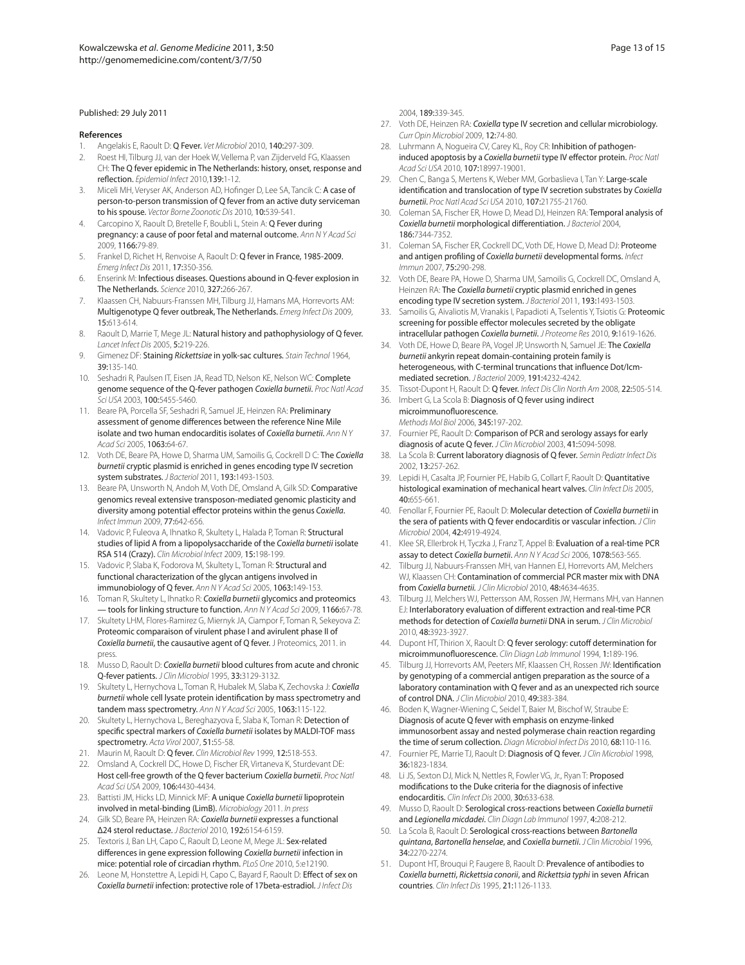#### Published: 29 July 2011

#### **References**

- 1. Angelakis E, Raoult D: Q Fever. *Vet Microbiol* 2010, 140:297-309.
- 2. Roest HI, Tilburg JJ, van der Hoek W, Vellema P, van Zijderveld FG, Klaassen CH: The Q fever epidemic in The Netherlands: history, onset, response and reflection. *Epidemiol Infect* 2010,139:1-12.
- 3. Miceli MH, Veryser AK, Anderson AD, Hofinger D, Lee SA, Tancik C: A case of person-to-person transmission of Q fever from an active duty serviceman to his spouse. *Vector Borne Zoonotic Dis* 2010, 10:539-541.
- Carcopino X, Raoult D, Bretelle F, Boubli L, Stein A: Q Fever during pregnancy: a cause of poor fetal and maternal outcome. *Ann N Y Acad Sci* 2009, 1166:79-89.
- 5. Frankel D, Richet H, Renvoise A, Raoult D: Q fever in France, 1985-2009. *Emerg Infect Dis* 2011, 17:350-356.
- 6. Enserink M: Infectious diseases. Questions abound in Q-fever explosion in The Netherlands. *Science* 2010, 327:266-267.
- 7. Klaassen CH, Nabuurs-Franssen MH, Tilburg JJ, Hamans MA, Horrevorts AM: Multigenotype Q fever outbreak, The Netherlands. *Emerg Infect Dis* 2009, 15:613-614.
- 8. Raoult D, Marrie T, Mege JL: Natural history and pathophysiology of Q fever. *Lancet Infect Dis* 2005, 5:219-226.
- 9. Gimenez DF: Staining *Rickettsiae* in yolk-sac cultures. *Stain Technol* 1964, 39:135-140.
- 10. Seshadri R, Paulsen IT, Eisen JA, Read TD, Nelson KE, Nelson WC: Complete genome sequence of the Q-fever pathogen *Coxiella burnetii*. *Proc Natl Acad Sci USA* 2003, 100:5455-5460.
- 11. Beare PA, Porcella SF, Seshadri R, Samuel JE, Heinzen RA: Preliminary assessment of genome differences between the reference Nine Mile isolate and two human endocarditis isolates of *Coxiella burnetii*. *Ann N Y Acad Sci* 2005, 1063:64-67.
- 12. Voth DE, Beare PA, Howe D, Sharma UM, Samoilis G, Cockrell D C: The *Coxiella burnetii* cryptic plasmid is enriched in genes encoding type IV secretion system substrates. *J Bacteriol* 2011, 193:1493-1503.
- 13. Beare PA, Unsworth N, Andoh M, Voth DE, Omsland A, Gilk SD: Comparative genomics reveal extensive transposon-mediated genomic plasticity and diversity among potential effector proteins within the genus *Coxiella*. *Infect Immun* 2009, 77:642-656.
- 14. Vadovic P, Fuleova A, Ihnatko R, Skultety L, Halada P, Toman R: Structural studies of lipid A from a lipopolysaccharide of the *Coxiella burnetii* isolate RSA 514 (Crazy). *Clin Microbiol Infect* 2009, 15:198-199.
- 15. Vadovic P, Slaba K, Fodorova M, Skultety L, Toman R: Structural and functional characterization of the glycan antigens involved in immunobiology of Q fever. *Ann N Y Acad Sci* 2005, 1063:149-153.
- 16. Toman R, Skultety L, Ihnatko R: *Coxiella burnetii* glycomics and proteomics — tools for linking structure to function. *Ann N Y Acad Sci* 2009, 1166:67-78.
- 17. Skultety LHM, Flores-Ramirez G, Miernyk JA, Ciampor F, Toman R, Sekeyova Z: Proteomic comparaison of virulent phase I and avirulent phase II of *Coxiella burnetii*, the causautive agent of Q fever. J Proteomics, 2011. in press.
- 18. Musso D, Raoult D: *Coxiella burnetii* blood cultures from acute and chronic Q-fever patients. *J Clin Microbiol* 1995, 33:3129-3132.
- 19. Skultety L, Hernychova L, Toman R, Hubalek M, Slaba K, Zechovska J: *Coxiella burnetii* whole cell lysate protein identification by mass spectrometry and tandem mass spectrometry. *Ann N Y Acad Sci* 2005, 1063:115-122.
- 20. Skultety L, Hernychova L, Bereghazyova E, Slaba K, Toman R: Detection of specific spectral markers of *Coxiella burnetii* isolates by MALDI-TOF mass spectrometry. *Acta Virol* 2007, 51:55-58.
- 21. Maurin M, Raoult D: Q fever. *Clin Microbiol Rev* 1999, 12:518-553.
- 22. Omsland A, Cockrell DC, Howe D, Fischer ER, Virtaneva K, Sturdevant DE: Host cell-free growth of the Q fever bacterium *Coxiella burnetii*. *Proc Natl Acad Sci USA* 2009, 106:4430-4434.
- 23. Battisti JM, Hicks LD, Minnick MF: A unique *Coxiella burnetii* lipoprotein involved in metal-binding (LimB). *Microbiology* 2011. *In press*
- 24. Gilk SD, Beare PA, Heinzen RA: *Coxiella burnetii* expresses a functional Δ24 sterol reductase. *J Bacteriol* 2010, 192:6154-6159.
- 25. Textoris J, Ban LH, Capo C, Raoult D, Leone M, Mege JL: Sex-related differences in gene expression following *Coxiella burnetii* infection in mice: potential role of circadian rhythm. *PLoS One* 2010, 5:e12190.
- 26. Leone M, Honstettre A, Lepidi H, Capo C, Bayard F, Raoult D: Effect of sex on *Coxiella burnetii* infection: protective role of 17beta-estradiol. *J Infect Dis*

2004, 189:339-345.

- 27. Voth DE, Heinzen RA: *Coxiella* type IV secretion and cellular microbiology. *Curr Opin Microbiol* 2009, 12:74-80.
- 28. Luhrmann A, Nogueira CV, Carey KL, Roy CR: Inhibition of pathogeninduced apoptosis by a *Coxiella burnetii* type IV effector protein. *Proc Natl Acad Sci USA* 2010, 107:18997-19001.
- 29. Chen C, Banga S, Mertens K, Weber MM, Gorbaslieva I, Tan Y: Large-scale identification and translocation of type IV secretion substrates by *Coxiella burnetii*. *Proc Natl Acad Sci USA* 2010, 107:21755-21760.
- 30. Coleman SA, Fischer ER, Howe D, Mead DJ, Heinzen RA: Temporal analysis of *Coxiella burnetii* morphological differentiation. *J Bacteriol* 2004, 186:7344-7352.
- 31. Coleman SA, Fischer ER, Cockrell DC, Voth DE, Howe D, Mead DJ: Proteome and antigen profiling of *Coxiella burnetii* developmental forms. *Infect Immun* 2007, 75:290-298.
- 32. Voth DE, Beare PA, Howe D, Sharma UM, Samoilis G, Cockrell DC, Omsland A, Heinzen RA: The *Coxiella burnetii* cryptic plasmid enriched in genes encoding type IV secretion system. *J Bacteriol* 2011, 193:1493-1503.
- 33. Samoilis G, Aivaliotis M, Vranakis I, Papadioti A, Tselentis Y, Tsiotis G: Proteomic screening for possible effector molecules secreted by the obligate intracellular pathogen *Coxiella burnetii*. *J Proteome Res* 2010, 9:1619-1626.
- 34. Voth DE, Howe D, Beare PA, Vogel JP, Unsworth N, Samuel JE: The *Coxiella burnetii* ankyrin repeat domain-containing protein family is heterogeneous, with C-terminal truncations that influence Dot/Icmmediated secretion. *J Bacteriol* 2009, 191:4232-4242.
- 35. Tissot-Dupont H, Raoult D: Q fever. *Infect Dis Clin North Am* 2008, 22:505-514.
- 36. Imbert G, La Scola B: Diagnosis of Q fever using indirect microimmunofluorescence. *Methods Mol Biol* 2006, 345:197-202.
- 37. Fournier PE, Raoult D: Comparison of PCR and serology assays for early diagnosis of acute Q fever. *J Clin Microbiol* 2003, 41:5094-5098.
- 38. La Scola B: Current laboratory diagnosis of Q fever. *Semin Pediatr Infect Dis* 2002, 13:257-262.
- 39. Lepidi H, Casalta JP, Fournier PE, Habib G, Collart F, Raoult D: Quantitative histological examination of mechanical heart valves. *Clin Infect Dis* 2005, 40:655-661.
- 40. Fenollar F, Fournier PE, Raoult D: Molecular detection of *Coxiella burnetii* in the sera of patients with Q fever endocarditis or vascular infection. *J Clin Microbiol* 2004, 42:4919-4924.
- 41. Klee SR, Ellerbrok H, Tyczka J, Franz T, Appel B: Evaluation of a real-time PCR assay to detect *Coxiella burnetii*. *Ann N Y Acad Sci* 2006, 1078:563-565.
- 42. Tilburg JJ, Nabuurs-Franssen MH, van Hannen EJ, Horrevorts AM, Melchers WJ, Klaassen CH: Contamination of commercial PCR master mix with DNA from *Coxiella burnetii. J Clin Microbiol* 2010, 48:4634-4635.
- 43. Tilburg JJ, Melchers WJ, Pettersson AM, Rossen JW, Hermans MH, van Hannen EJ: Interlaboratory evaluation of different extraction and real-time PCR methods for detection of *Coxiella burnetii* DNA in serum. *J Clin Microbiol* 2010, 48:3923-3927.
- 44. Dupont HT, Thirion X, Raoult D: Q fever serology: cutoff determination for microimmunofluorescence. *Clin Diagn Lab Immunol* 1994, 1:189-196.
- 45. Tilburg JJ, Horrevorts AM, Peeters MF, Klaassen CH, Rossen JW: Identification by genotyping of a commercial antigen preparation as the source of a laboratory contamination with Q fever and as an unexpected rich source of control DNA. *J Clin Microbiol* 2010, 49:383-384.
- 46. Boden K, Wagner-Wiening C, Seidel T, Baier M, Bischof W, Straube E: Diagnosis of acute Q fever with emphasis on enzyme-linked immunosorbent assay and nested polymerase chain reaction regarding the time of serum collection. *Diagn Microbiol Infect Dis* 2010, 68:110-116.
- 47. Fournier PE, Marrie TJ, Raoult D: Diagnosis of Q fever. *J Clin Microbiol* 1998, 36:1823-1834.
- 48. Li JS, Sexton DJ, Mick N, Nettles R, Fowler VG, Jr., Ryan T: Proposed modifications to the Duke criteria for the diagnosis of infective endocarditis. *Clin Infect Dis* 2000, 30:633-638.
- 49. Musso D, Raoult D: Serological cross-reactions between *Coxiella burnetii* and *Legionella micdadei*. *Clin Diagn Lab Immunol* 1997, 4:208-212.
- 50. La Scola B, Raoult D: Serological cross-reactions between *Bartonella quintana*, *Bartonella henselae*, and *Coxiella burnetii*. *J Clin Microbiol* 1996, 34:2270-2274.
- 51. Dupont HT, Brouqui P, Faugere B, Raoult D: Prevalence of antibodies to *Coxiella burnetti*, *Rickettsia conorii*, and *Rickettsia typhi* in seven African countries. *Clin Infect Dis* 1995, 21:1126-1133.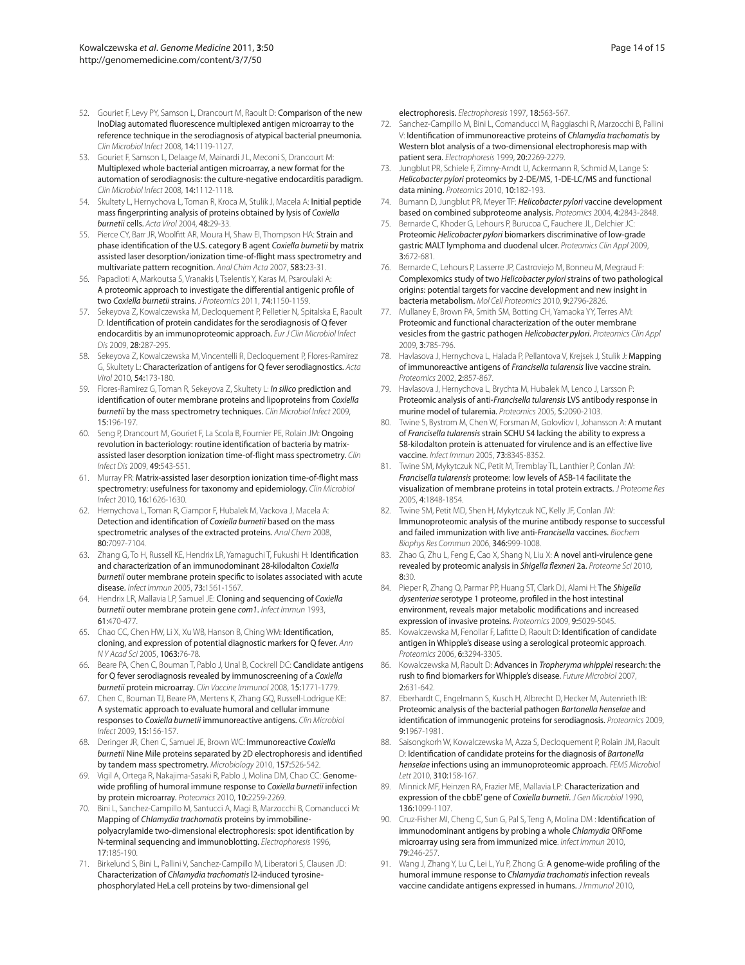- 52. Gouriet F, Levy PY, Samson L, Drancourt M, Raoult D; Comparison of the new InoDiag automated fluorescence multiplexed antigen microarray to the reference technique in the serodiagnosis of atypical bacterial pneumonia. *Clin Microbiol Infect* 2008, 14:1119-1127.
- 53. Gouriet F, Samson L, Delaage M, Mainardi J L, Meconi S, Drancourt M: Multiplexed whole bacterial antigen microarray, a new format for the automation of serodiagnosis: the culture-negative endocarditis paradigm. *Clin Microbiol Infect* 2008, 14:1112-1118.
- 54. Skultety L, Hernychova L, Toman R, Kroca M, Stulik J, Macela A: Initial peptide mass fingerprinting analysis of proteins obtained by lysis of *Coxiella burnetii* cells. *Acta Virol* 2004, 48:29-33.
- 55. Pierce CY, Barr JR, Woolfitt AR, Moura H, Shaw EI, Thompson HA: Strain and phase identification of the U.S. category B agent *Coxiella burnetii* by matrix assisted laser desorption/ionization time-of-flight mass spectrometry and multivariate pattern recognition. *Anal Chim Acta* 2007, 583:23-31.
- 56. Papadioti A, Markoutsa S, Vranakis I, Tselentis Y, Karas M, Psaroulaki A: A proteomic approach to investigate the differential antigenic profile of two *Coxiella burnetii* strains. *J Proteomics* 2011, 74:1150-1159.
- 57. Sekeyova Z, Kowalczewska M, Decloquement P, Pelletier N, Spitalska E, Raoult D: Identification of protein candidates for the serodiagnosis of Q fever endocarditis by an immunoproteomic approach. *Eur J Clin Microbiol Infect Dis* 2009, 28:287-295.
- 58. Sekeyova Z, Kowalczewska M, Vincentelli R, Decloquement P, Flores-Ramirez G, Skultety L: Characterization of antigens for Q fever serodiagnostics. *Acta Virol* 2010, 54:173-180.
- 59. Flores-Ramirez G, Toman R, Sekeyova Z, Skultety L: *In silico* prediction and identification of outer membrane proteins and lipoproteins from *Coxiella burnetii* by the mass spectrometry techniques. *Clin Microbiol Infect* 2009, 15:196-197.
- 60. Seng P, Drancourt M, Gouriet F, La Scola B, Fournier PE, Rolain JM: Ongoing revolution in bacteriology: routine identification of bacteria by matrixassisted laser desorption ionization time-of-flight mass spectrometry. *Clin Infect Dis* 2009, 49:543-551.
- 61. Murray PR: Matrix-assisted laser desorption ionization time-of-flight mass spectrometry: usefulness for taxonomy and epidemiology. *Clin Microbiol Infect* 2010, 16:1626-1630.
- 62. Hernychova L, Toman R, Ciampor F, Hubalek M, Vackova J, Macela A: Detection and identification of *Coxiella burnetii* based on the mass spectrometric analyses of the extracted proteins. *Anal Chem* 2008, 80:7097-7104.
- 63. Zhang G, To H, Russell KE, Hendrix LR, Yamaguchi T, Fukushi H: Identification and characterization of an immunodominant 28-kilodalton *Coxiella burnetii* outer membrane protein specific to isolates associated with acute disease. *Infect Immun* 2005, 73:1561-1567.
- 64. Hendrix LR, Mallavia LP, Samuel JE: Cloning and sequencing of *Coxiella burnetii* outer membrane protein gene *com1*. *Infect Immun* 1993, 61:470-477.
- 65. Chao CC, Chen HW, Li X, Xu WB, Hanson B, Ching WM: Identification, cloning, and expression of potential diagnostic markers for Q fever. *Ann N Y Acad Sci* 2005, 1063:76-78.
- 66. Beare PA, Chen C, Bouman T, Pablo J, Unal B, Cockrell DC: Candidate antigens for Q fever serodiagnosis revealed by immunoscreening of a *Coxiella burnetii* protein microarray. *Clin Vaccine Immunol* 2008, 15:1771-1779.
- 67. Chen C, Bouman TJ, Beare PA, Mertens K, Zhang GQ, Russell-Lodrigue KE: A systematic approach to evaluate humoral and cellular immune responses to *Coxiella burnetii* immunoreactive antigens. *Clin Microbiol Infect* 2009, 15:156-157.
- 68. Deringer JR, Chen C, Samuel JE, Brown WC: Immunoreactive *Coxiella burnetii* Nine Mile proteins separated by 2D electrophoresis and identified by tandem mass spectrometry. *Microbiology* 2010, 157:526-542.
- 69. Vigil A, Ortega R, Nakajima-Sasaki R, Pablo J, Molina DM, Chao CC: Genomewide profiling of humoral immune response to *Coxiella burnetii* infection by protein microarray. *Proteomics* 2010, 10:2259-2269.
- 70. Bini L, Sanchez-Campillo M, Santucci A, Magi B, Marzocchi B, Comanducci M: Mapping of *Chlamydia trachomatis* proteins by immobilinepolyacrylamide two-dimensional electrophoresis: spot identification by N-terminal sequencing and immunoblotting. *Electrophoresis* 1996, 17:185-190.
- 71. Birkelund S, Bini L, Pallini V, Sanchez-Campillo M, Liberatori S, Clausen JD: Characterization of *Chlamydia trachomatis* l2-induced tyrosinephosphorylated HeLa cell proteins by two-dimensional gel

electrophoresis. *Electrophoresis* 1997, 18:563-567.

- 72. Sanchez-Campillo M, Bini L, Comanducci M, Raggiaschi R, Marzocchi B, Pallini V: Identification of immunoreactive proteins of *Chlamydia trachomatis* by Western blot analysis of a two-dimensional electrophoresis map with patient sera. *Electrophoresis* 1999, 20:2269-2279.
- 73. Jungblut PR, Schiele F, Zimny-Arndt U, Ackermann R, Schmid M, Lange S: *Helicobacter pylori* proteomics by 2-DE/MS, 1-DE-LC/MS and functional data mining. *Proteomics* 2010, 10:182-193.
- 74. Bumann D, Jungblut PR, Meyer TF: *Helicobacter pylori* vaccine development based on combined subproteome analysis. *Proteomics* 2004, 4:2843-2848.
- Bernarde C, Khoder G, Lehours P, Burucoa C, Fauchere JL, Delchier JC: Proteomic *Helicobacter pylori* biomarkers discriminative of low-grade gastric MALT lymphoma and duodenal ulcer. *Proteomics Clin Appl* 2009, 3:672-681.
- 76. Bernarde C, Lehours P, Lasserre JP, Castroviejo M, Bonneu M, Megraud F: Complexomics study of two *Helicobacter pylori* strains of two pathological origins: potential targets for vaccine development and new insight in bacteria metabolism. *Mol Cell Proteomics* 2010, 9:2796-2826.
- 77. Mullaney E, Brown PA, Smith SM, Botting CH, Yamaoka YY, Terres AM: Proteomic and functional characterization of the outer membrane vesicles from the gastric pathogen *Helicobacter pylori*. *Proteomics Clin Appl* 2009, 3:785-796.
- 78. Havlasova J, Hernychova L, Halada P, Pellantova V, Krejsek J, Stulik J: Mapping of immunoreactive antigens of *Francisella tularensis* live vaccine strain. *Proteomics* 2002, 2:857-867.
- 79. Havlasova J, Hernychova L, Brychta M, Hubalek M, Lenco J, Larsson P: Proteomic analysis of anti-*Francisella tularensis* LVS antibody response in murine model of tularemia. *Proteomics* 2005, 5:2090-2103.
- 80. Twine S, Bystrom M, Chen W, Forsman M, Golovliov I, Johansson A: A mutant of *Francisella tularensis* strain SCHU S4 lacking the ability to express a 58-kilodalton protein is attenuated for virulence and is an effective live vaccine. *Infect Immun* 2005, 73:8345-8352.
- 81. Twine SM, Mykytczuk NC, Petit M, Tremblay TL, Lanthier P, Conlan JW: *Francisella tularensis* proteome: low levels of ASB-14 facilitate the visualization of membrane proteins in total protein extracts. *J Proteome Res* 2005, 4:1848-1854.
- 82. Twine SM, Petit MD, Shen H, Mykytczuk NC, Kelly JF, Conlan JW: Immunoproteomic analysis of the murine antibody response to successful and failed immunization with live anti-*Francisella* vaccines. *Biochem Biophys Res Commun* 2006, 346:999-1008.
- 83. Zhao G, Zhu L, Feng E, Cao X, Shang N, Liu X: A novel anti-virulence gene revealed by proteomic analysis in *Shigella flexneri* 2a. *Proteome Sci* 2010, 8:30.
- 84. Pieper R, Zhang Q, Parmar PP, Huang ST, Clark DJ, Alami H: The *Shigella dysenteriae* serotype 1 proteome, profiled in the host intestinal environment, reveals major metabolic modifications and increased expression of invasive proteins. *Proteomics* 2009, 9:5029-5045.
- 85. Kowalczewska M, Fenollar F, Lafitte D, Raoult D: Identification of candidate antigen in Whipple's disease using a serological proteomic approach. *Proteomics* 2006, 6:3294-3305.
- 86. Kowalczewska M, Raoult D: Advances in *Tropheryma whipplei* research: the rush to find biomarkers for Whipple's disease. *Future Microbiol* 2007, 2:631-642.
- 87. Eberhardt C, Engelmann S, Kusch H, Albrecht D, Hecker M, Autenrieth IB: Proteomic analysis of the bacterial pathogen *Bartonella henselae* and identification of immunogenic proteins for serodiagnosis. *Proteomics* 2009, 9:1967-1981.
- 88. Saisongkorh W, Kowalczewska M, Azza S, Decloquement P, Rolain JM, Raoult D: Identification of candidate proteins for the diagnosis of *Bartonella henselae* infections using an immunoproteomic approach. *FEMS Microbiol Lett* 2010, 310:158-167.
- 89. Minnick MF, Heinzen RA, Frazier ME, Mallavia LP: Characterization and expression of the cbbE' gene of *Coxiella burnetii*. *J Gen Microbiol* 1990, 136:1099-1107.
- 90. Cruz-Fisher MI, Cheng C, Sun G, Pal S, Teng A, Molina DM : Identification of immunodominant antigens by probing a whole *Chlamydia* ORFome microarray using sera from immunized mice. *Infect Immun* 2010, 79:246-257.
- 91. Wang J, Zhang Y, Lu C, Lei L, Yu P, Zhong G: A genome-wide profiling of the humoral immune response to *Chlamydia trachomatis* infection reveals vaccine candidate antigens expressed in humans. *J Immunol* 2010,